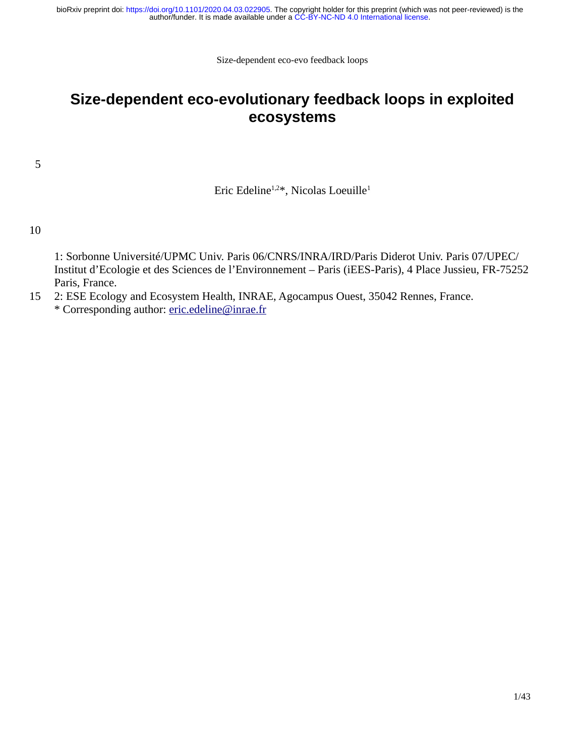# **Size-dependent eco-evolutionary feedback loops in exploited ecosystems**

5

Eric Edeline<sup>1,2\*</sup>, Nicolas Loeuille<sup>1</sup>

### 10

1: Sorbonne Université/UPMC Univ. Paris 06/CNRS/INRA/IRD/Paris Diderot Univ. Paris 07/UPEC/ Institut d'Ecologie et des Sciences de l'Environnement – Paris (iEES-Paris), 4 Place Jussieu, FR-75252 Paris, France.

2: ESE Ecology and Ecosystem Health, INRAE, Agocampus Ouest, 35042 Rennes, France. \* Corresponding author: eric.edeline@inrae.fr 15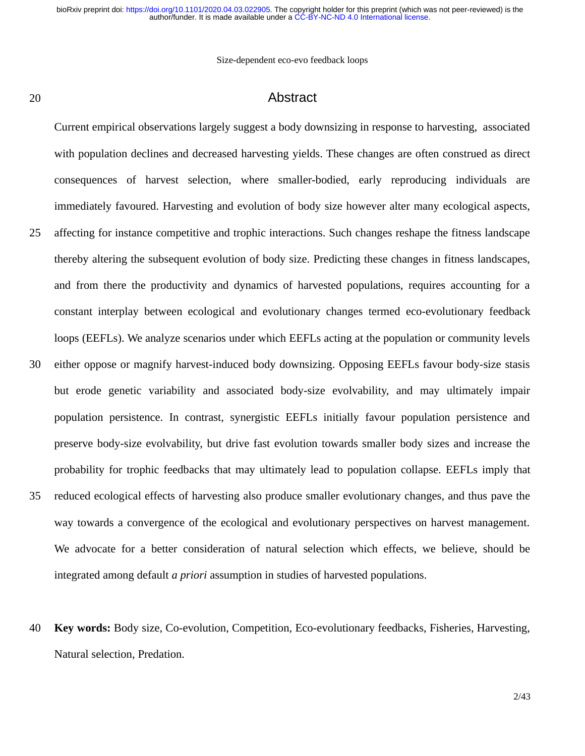Size-dependent eco-evo feedback loops

#### 20

## Abstract

Current empirical observations largely suggest a body downsizing in response to harvesting, associated with population declines and decreased harvesting yields. These changes are often construed as direct consequences of harvest selection, where smaller-bodied, early reproducing individuals are immediately favoured. Harvesting and evolution of body size however alter many ecological aspects, affecting for instance competitive and trophic interactions. Such changes reshape the fitness landscape thereby altering the subsequent evolution of body size. Predicting these changes in fitness landscapes, and from there the productivity and dynamics of harvested populations, requires accounting for a constant interplay between ecological and evolutionary changes termed eco-evolutionary feedback loops (EEFLs). We analyze scenarios under which EEFLs acting at the population or community levels either oppose or magnify harvest-induced body downsizing. Opposing EEFLs favour body-size stasis but erode genetic variability and associated body-size evolvability, and may ultimately impair population persistence. In contrast, synergistic EEFLs initially favour population persistence and preserve body-size evolvability, but drive fast evolution towards smaller body sizes and increase the probability for trophic feedbacks that may ultimately lead to population collapse. EEFLs imply that reduced ecological effects of harvesting also produce smaller evolutionary changes, and thus pave the way towards a convergence of the ecological and evolutionary perspectives on harvest management. We advocate for a better consideration of natural selection which effects, we believe, should be integrated among default *a priori* assumption in studies of harvested populations. 25 30 35

**Key words:** Body size, Co-evolution, Competition, Eco-evolutionary feedbacks, Fisheries, Harvesting, Natural selection, Predation. 40

2/43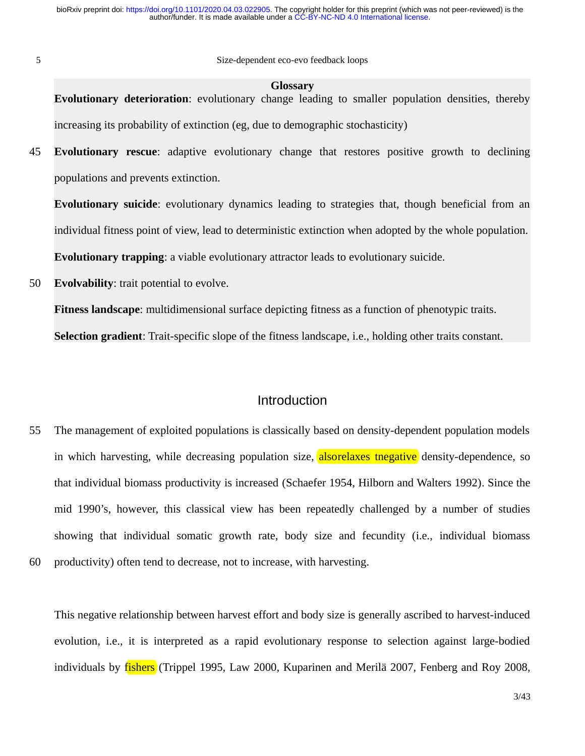5

Size-dependent eco-evo feedback loops

#### **Glossary**

**Evolutionary deterioration**: evolutionary change leading to smaller population densities, thereby increasing its probability of extinction (eg, due to demographic stochasticity)

**Evolutionary rescue**: adaptive evolutionary change that restores positive growth to declining populations and prevents extinction. 45

**Evolutionary suicide**: evolutionary dynamics leading to strategies that, though beneficial from an individual fitness point of view, lead to deterministic extinction when adopted by the whole population. **Evolutionary trapping**: a viable evolutionary attractor leads to evolutionary suicide.

**Evolvability**: trait potential to evolve. 50

**Fitness landscape**: multidimensional surface depicting fitness as a function of phenotypic traits.

**Selection gradient**: Trait-specific slope of the fitness landscape, i.e., holding other traits constant.

## Introduction

The management of exploited populations is classically based on density-dependent population models in which harvesting, while decreasing population size, alsorelaxes tnegative density-dependence, so that individual biomass productivity is increased (Schaefer 1954, Hilborn and Walters 1992). Since the mid 1990's, however, this classical view has been repeatedly challenged by a number of studies showing that individual somatic growth rate, body size and fecundity (i.e., individual biomass productivity) often tend to decrease, not to increase, with harvesting. 55 60

This negative relationship between harvest effort and body size is generally ascribed to harvest-induced evolution, i.e., it is interpreted as a rapid evolutionary response to selection against large-bodied individuals by fishers (Trippel 1995, Law 2000, Kuparinen and Merilä 2007, Fenberg and Roy 2008,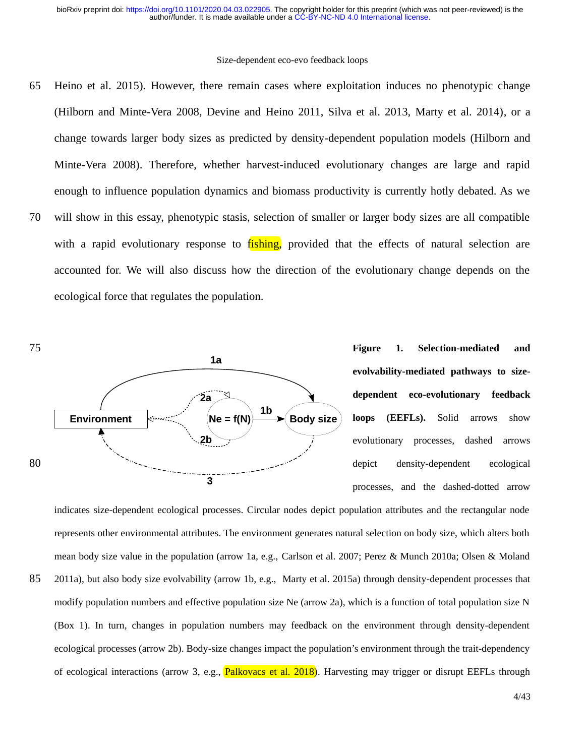Heino et al. 2015). However, there remain cases where exploitation induces no phenotypic change (Hilborn and Minte-Vera 2008, Devine and Heino 2011, Silva et al. 2013, Marty et al. 2014), or a change towards larger body sizes as predicted by density-dependent population models (Hilborn and Minte-Vera 2008). Therefore, whether harvest-induced evolutionary changes are large and rapid enough to influence population dynamics and biomass productivity is currently hotly debated. As we will show in this essay, phenotypic stasis, selection of smaller or larger body sizes are all compatible with a rapid evolutionary response to fishing, provided that the effects of natural selection are accounted for. We will also discuss how the direction of the evolutionary change depends on the ecological force that regulates the population. 65 70



**Figure 1. Selection-mediated and evolvability-mediated pathways to sizedependent eco-evolutionary feedback loops (EEFLs).** Solid arrows show evolutionary processes, dashed arrows depict density-dependent ecological processes, and the dashed-dotted arrow

indicates size-dependent ecological processes. Circular nodes depict population attributes and the rectangular node represents other environmental attributes. The environment generates natural selection on body size, which alters both mean body size value in the population (arrow 1a, e.g., Carlson et al. 2007; Perez & Munch 2010a; Olsen & Moland 2011a), but also body size evolvability (arrow 1b, e.g., Marty et al. 2015a) through density-dependent processes that modify population numbers and effective population size Ne (arrow 2a), which is a function of total population size N (Box 1). In turn, changes in population numbers may feedback on the environment through density-dependent ecological processes (arrow 2b). Body-size changes impact the population's environment through the trait-dependency of ecological interactions (arrow 3, e.g., Palkovacs et al. 2018). Harvesting may trigger or disrupt EEFLs through 85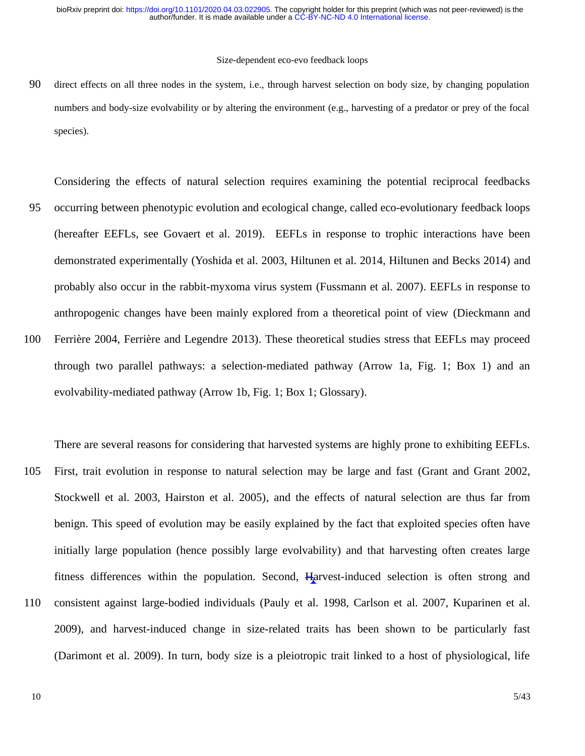direct effects on all three nodes in the system, i.e., through harvest selection on body size, by changing population numbers and body-size evolvability or by altering the environment (e.g., harvesting of a predator or prey of the focal species). 90

Considering the effects of natural selection requires examining the potential reciprocal feedbacks occurring between phenotypic evolution and ecological change, called eco-evolutionary feedback loops (hereafter EEFLs, see Govaert et al. 2019). EEFLs in response to trophic interactions have been demonstrated experimentally (Yoshida et al. 2003, Hiltunen et al. 2014, Hiltunen and Becks 2014) and probably also occur in the rabbit-myxoma virus system (Fussmann et al. 2007). EEFLs in response to anthropogenic changes have been mainly explored from a theoretical point of view (Dieckmann and Ferrière 2004, Ferrière and Legendre 2013). These theoretical studies stress that EEFLs may proceed through two parallel pathways: a selection-mediated pathway (Arrow 1a, Fig. 1; Box 1) and an evolvability-mediated pathway (Arrow 1b, Fig. 1; Box 1; Glossary). 95 100

There are several reasons for considering that harvested systems are highly prone to exhibiting EEFLs. First, trait evolution in response to natural selection may be large and fast (Grant and Grant 2002, Stockwell et al. 2003, Hairston et al. 2005), and the effects of natural selection are thus far from benign. This speed of evolution may be easily explained by the fact that exploited species often have initially large population (hence possibly large evolvability) and that harvesting often creates large fitness differences within the population. Second, Harvest-induced selection is often strong and consistent against large-bodied individuals (Pauly et al. 1998, Carlson et al. 2007, Kuparinen et al. 2009), and harvest-induced change in size-related traits has been shown to be particularly fast (Darimont et al. 2009). In turn, body size is a pleiotropic trait linked to a host of physiological, life 105 110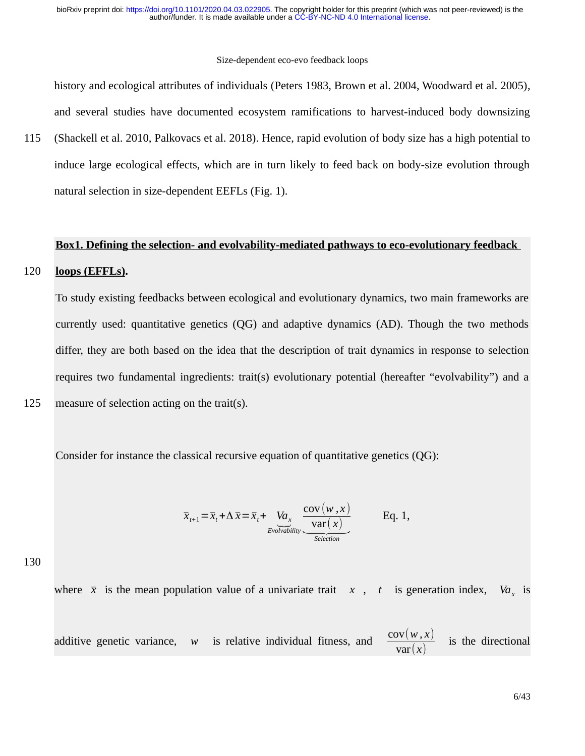history and ecological attributes of individuals (Peters 1983, Brown et al. 2004, Woodward et al. 2005), and several studies have documented ecosystem ramifications to harvest-induced body downsizing

(Shackell et al. 2010, Palkovacs et al. 2018). Hence, rapid evolution of body size has a high potential to induce large ecological effects, which are in turn likely to feed back on body-size evolution through natural selection in size-dependent EEFLs (Fig. 1). 115

#### **Box1. Defining the selection- and evolvability-mediated pathways to eco-evolutionary feedback**

#### **loops (EFFLs).** 120

To study existing feedbacks between ecological and evolutionary dynamics, two main frameworks are currently used: quantitative genetics (QG) and adaptive dynamics (AD). Though the two methods differ, they are both based on the idea that the description of trait dynamics in response to selection requires two fundamental ingredients: trait(s) evolutionary potential (hereafter "evolvability") and a measure of selection acting on the trait(s).

Consider for instance the classical recursive equation of quantitative genetics (QG):

$$
\overline{x}_{t+1} = \overline{x}_t + \Delta \overline{x} = \overline{x}_t + \underbrace{V a_x}_{\text{Evolvability}} \underbrace{\frac{\text{cov}(w, x)}{\text{var}(x)}}_{\text{Selection}} \qquad \text{Eq. 1,}
$$

130

125

where  $\bar{x}$  is the mean population value of a univariate trait  $\bar{x}$ ,  $\bar{t}$  is generation index,  $Va$ <sub>y</sub> is

additive genetic variance, *w* is relative individual fitness, and  $\frac{\text{cov}(w, x)}{\sqrt{x}}$ var(*x*) is the directional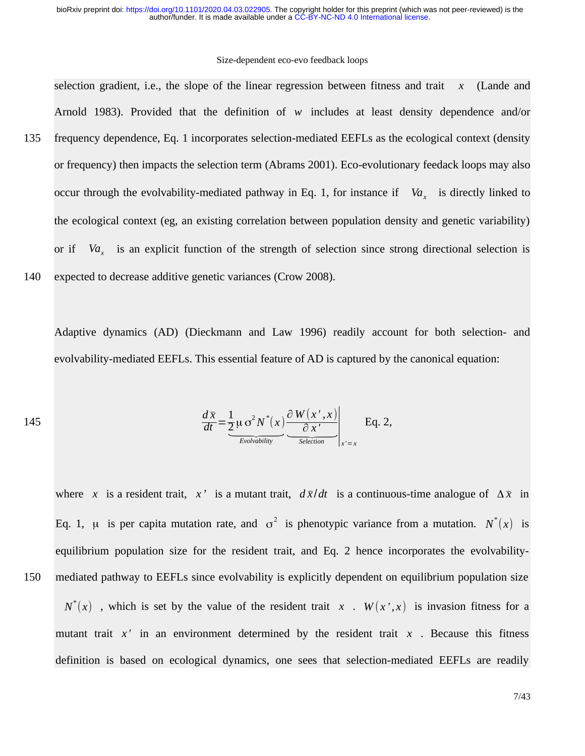#### Size-dependent eco-evo feedback loops

selection gradient, i.e., the slope of the linear regression between fitness and trait *x* (Lande and Arnold 1983). Provided that the definition of *w* includes at least density dependence and/or frequency dependence, Eq. 1 incorporates selection-mediated EEFLs as the ecological context (density or frequency) then impacts the selection term (Abrams 2001). Eco-evolutionary feedack loops may also occur through the evolvability-mediated pathway in Eq. 1, for instance if *Va<sup>x</sup>* is directly linked to the ecological context (eg, an existing correlation between population density and genetic variability) or if  $Va<sub>x</sub>$  is an explicit function of the strength of selection since strong directional selection is expected to decrease additive genetic variances (Crow 2008). 135 140

Adaptive dynamics (AD) (Dieckmann and Law 1996) readily account for both selection- and evolvability-mediated EEFLs. This essential feature of AD is captured by the canonical equation:

145 
$$
\frac{d\overline{x}}{dt} = \underbrace{\frac{1}{2}\mu \sigma^2 N^*(x)}_{\text{Evolvability}} \underbrace{\frac{\partial W(x',x)}{\partial x'}}_{\text{Selection}}\bigg|_{x'=x} \text{ Eq. 2,}
$$

where *x* is a resident trait, *x*<sup>*'*</sup> is a mutant trait,  $d\bar{x}/dt$  is a continuous-time analogue of  $\Delta \bar{x}$  in Eq. 1,  $\mu$  is per capita mutation rate, and  $\sigma^2$  is phenotypic variance from a mutation.  $N^*(x)$  is equilibrium population size for the resident trait, and Eq. 2 hence incorporates the evolvabilitymediated pathway to EEFLs since evolvability is explicitly dependent on equilibrium population size

 $N^*(x)$  , which is set by the value of the resident trait *x* .  $W(x^*,x)$  is invasion fitness for a mutant trait  $x'$  in an environment determined by the resident trait  $x$ . Because this fitness definition is based on ecological dynamics, one sees that selection-mediated EEFLs are readily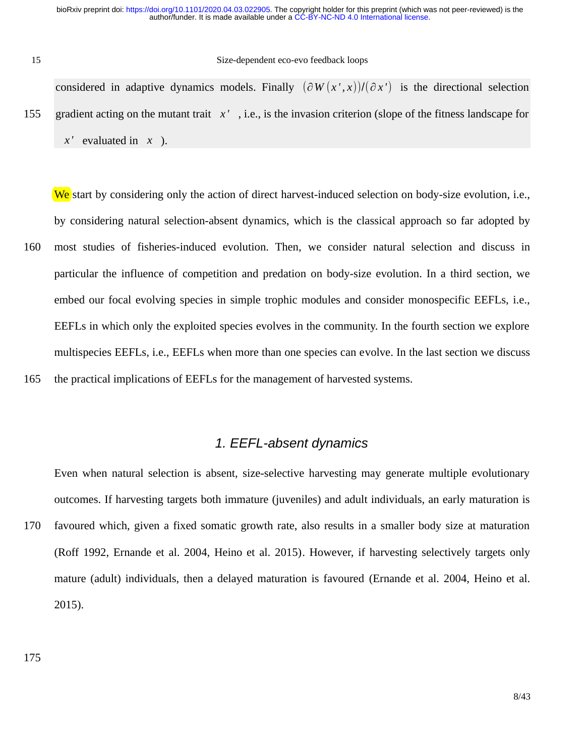15

#### Size-dependent eco-evo feedback loops

considered in adaptive dynamics models. Finally  $(\partial W(x',x))/(\partial x')$  is the directional selection gradient acting on the mutant trait *x '* , i.e., is the invasion criterion (slope of the fitness landscape for *x '* evaluated in *x* ). 155

We start by considering only the action of direct harvest-induced selection on body-size evolution, i.e., by considering natural selection-absent dynamics, which is the classical approach so far adopted by most studies of fisheries-induced evolution. Then, we consider natural selection and discuss in particular the influence of competition and predation on body-size evolution. In a third section, we embed our focal evolving species in simple trophic modules and consider monospecific EEFLs, i.e., EEFLs in which only the exploited species evolves in the community. In the fourth section we explore multispecies EEFLs, i.e., EEFLs when more than one species can evolve. In the last section we discuss the practical implications of EEFLs for the management of harvested systems. 160 165

### *1. EEFL-absent dynamics*

Even when natural selection is absent, size-selective harvesting may generate multiple evolutionary outcomes. If harvesting targets both immature (juveniles) and adult individuals, an early maturation is favoured which, given a fixed somatic growth rate, also results in a smaller body size at maturation (Roff 1992, Ernande et al. 2004, Heino et al. 2015). However, if harvesting selectively targets only mature (adult) individuals, then a delayed maturation is favoured (Ernande et al. 2004, Heino et al. 2015). 170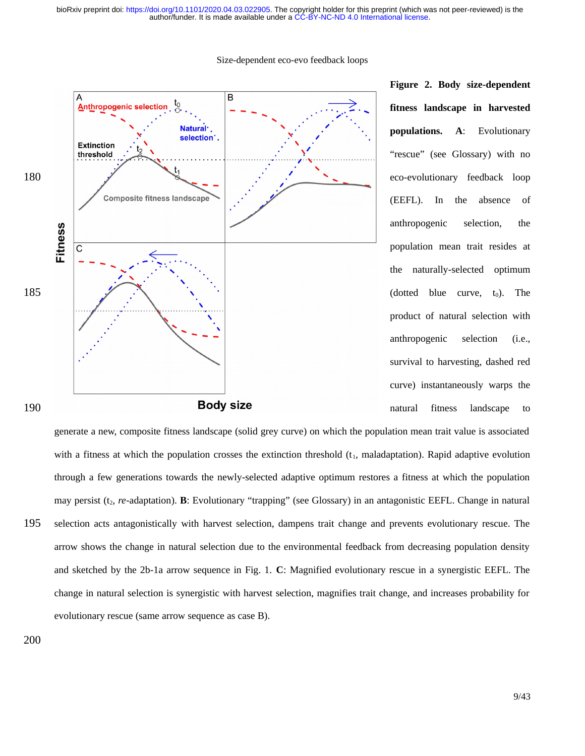

**Figure 2. Body size-dependent fitness landscape in harvested populations. A**: Evolutionary "rescue" (see Glossary) with no eco-evolutionary feedback loop (EEFL). In the absence of anthropogenic selection, the population mean trait resides at the naturally-selected optimum (dotted blue curve,  $t_0$ ). The product of natural selection with anthropogenic selection (i.e., survival to harvesting, dashed red curve) instantaneously warps the natural fitness landscape to

generate a new, composite fitness landscape (solid grey curve) on which the population mean trait value is associated with a fitness at which the population crosses the extinction threshold  $(t<sub>1</sub>,$  maladaptation). Rapid adaptive evolution through a few generations towards the newly-selected adaptive optimum restores a fitness at which the population may persist (t<sub>2</sub>, *re*-adaptation). **B**: Evolutionary "trapping" (see Glossary) in an antagonistic EEFL. Change in natural selection acts antagonistically with harvest selection, dampens trait change and prevents evolutionary rescue. The arrow shows the change in natural selection due to the environmental feedback from decreasing population density and sketched by the 2b-1a arrow sequence in Fig. 1. **C**: Magnified evolutionary rescue in a synergistic EEFL. The change in natural selection is synergistic with harvest selection, magnifies trait change, and increases probability for evolutionary rescue (same arrow sequence as case B). 195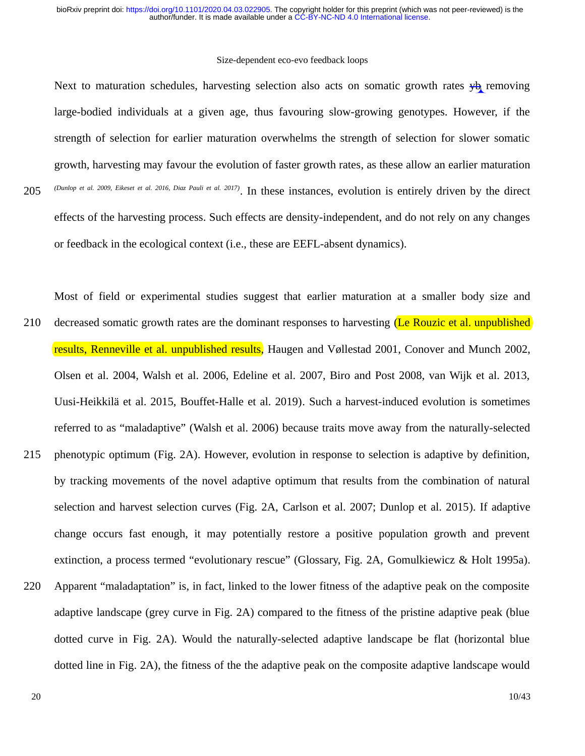#### Size-dependent eco-evo feedback loops

Next to maturation schedules, harvesting selection also acts on somatic growth rates  $\psi_b$  removing large-bodied individuals at a given age, thus favouring slow-growing genotypes. However, if the strength of selection for earlier maturation overwhelms the strength of selection for slower somatic growth, harvesting may favour the evolution of faster growth rates, as these allow an earlier maturation *(Dunlop et al. 2009, Eikeset et al. 2016, Diaz Pauli et al. 2017)* . In these instances, evolution is entirely driven by the direct effects of the harvesting process. Such effects are density-independent, and do not rely on any changes or feedback in the ecological context (i.e., these are EEFL-absent dynamics). 205

Most of field or experimental studies suggest that earlier maturation at a smaller body size and decreased somatic growth rates are the dominant responses to harvesting (Le Rouzic et al. unpublished) results, Renneville et al. unpublished results, Haugen and Vøllestad 2001, Conover and Munch 2002, Olsen et al. 2004, Walsh et al. 2006, Edeline et al. 2007, Biro and Post 2008, van Wijk et al. 2013, Uusi-Heikkilä et al. 2015, Bouffet-Halle et al. 2019). Such a harvest-induced evolution is sometimes referred to as "maladaptive" (Walsh et al. 2006) because traits move away from the naturally-selected phenotypic optimum (Fig. 2A). However, evolution in response to selection is adaptive by definition, by tracking movements of the novel adaptive optimum that results from the combination of natural selection and harvest selection curves (Fig. 2A, Carlson et al. 2007; Dunlop et al. 2015). If adaptive change occurs fast enough, it may potentially restore a positive population growth and prevent extinction, a process termed "evolutionary rescue" (Glossary, Fig. 2A, Gomulkiewicz & Holt 1995a). Apparent "maladaptation" is, in fact, linked to the lower fitness of the adaptive peak on the composite adaptive landscape (grey curve in Fig. 2A) compared to the fitness of the pristine adaptive peak (blue dotted curve in Fig. 2A). Would the naturally-selected adaptive landscape be flat (horizontal blue 210 215 220

dotted line in Fig. 2A), the fitness of the the adaptive peak on the composite adaptive landscape would

20

10/43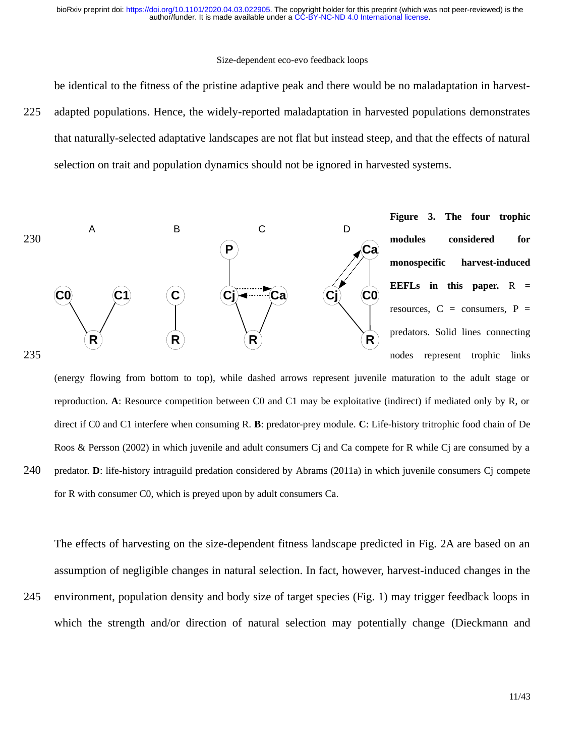#### Size-dependent eco-evo feedback loops

be identical to the fitness of the pristine adaptive peak and there would be no maladaptation in harvest-

adapted populations. Hence, the widely-reported maladaptation in harvested populations demonstrates that naturally-selected adaptative landscapes are not flat but instead steep, and that the effects of natural selection on trait and population dynamics should not be ignored in harvested systems. 225



(energy flowing from bottom to top), while dashed arrows represent juvenile maturation to the adult stage or reproduction. **A**: Resource competition between C0 and C1 may be exploitative (indirect) if mediated only by R, or direct if C0 and C1 interfere when consuming R. **B**: predator-prey module. **C**: Life-history tritrophic food chain of De Roos & Persson (2002) in which juvenile and adult consumers Cj and Ca compete for R while Cj are consumed by a predator. **D**: life-history intraguild predation considered by Abrams (2011a) in which juvenile consumers Cj compete for R with consumer C0, which is preyed upon by adult consumers Ca. 240

The effects of harvesting on the size-dependent fitness landscape predicted in Fig. 2A are based on an assumption of negligible changes in natural selection. In fact, however, harvest-induced changes in the

environment, population density and body size of target species (Fig. 1) may trigger feedback loops in which the strength and/or direction of natural selection may potentially change (Dieckmann and 245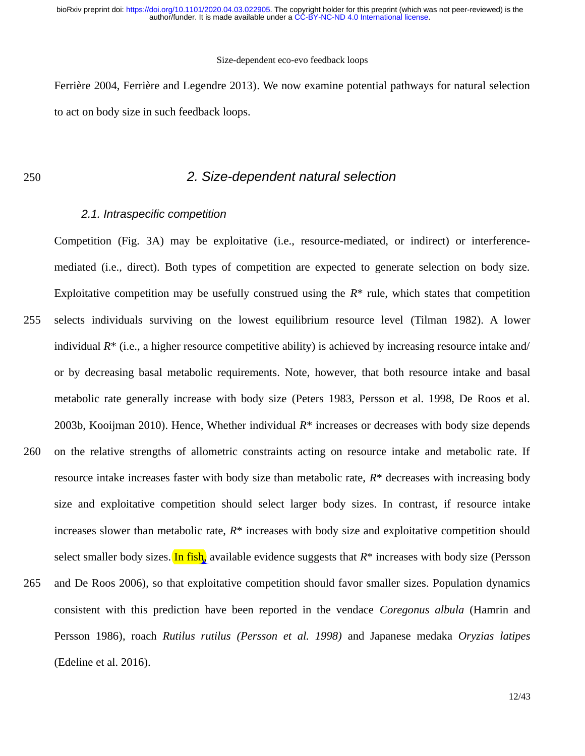#### Size-dependent eco-evo feedback loops

Ferrière 2004, Ferrière and Legendre 2013). We now examine potential pathways for natural selection to act on body size in such feedback loops.

250

### *2. Size-dependent natural selection*

### *2.1. Intraspecific competition*

Competition (Fig. 3A) may be exploitative (i.e., resource-mediated, or indirect) or interferencemediated (i.e., direct). Both types of competition are expected to generate selection on body size. Exploitative competition may be usefully construed using the *R*\* rule, which states that competition selects individuals surviving on the lowest equilibrium resource level (Tilman 1982). A lower individual *R*\* (i.e., a higher resource competitive ability) is achieved by increasing resource intake and/ or by decreasing basal metabolic requirements. Note, however, that both resource intake and basal metabolic rate generally increase with body size (Peters 1983, Persson et al. 1998, De Roos et al. 2003b, Kooijman 2010). Hence, Whether individual *R*\* increases or decreases with body size depends on the relative strengths of allometric constraints acting on resource intake and metabolic rate. If resource intake increases faster with body size than metabolic rate, *R*\* decreases with increasing body size and exploitative competition should select larger body sizes. In contrast, if resource intake increases slower than metabolic rate, *R*\* increases with body size and exploitative competition should select smaller body sizes. In fish, available evidence suggests that *R*\* increases with body size (Persson and De Roos 2006), so that exploitative competition should favor smaller sizes. Population dynamics consistent with this prediction have been reported in the vendace *Coregonus albula* (Hamrin and Persson 1986), roach *Rutilus rutilus (Persson et al. 1998)* and Japanese medaka *Oryzias latipes* (Edeline et al. 2016). 255 260 265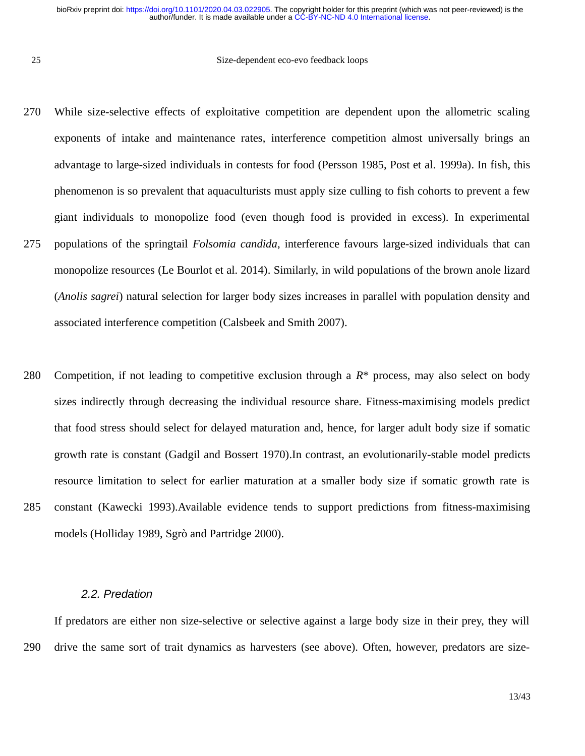25

#### Size-dependent eco-evo feedback loops

- While size-selective effects of exploitative competition are dependent upon the allometric scaling exponents of intake and maintenance rates, interference competition almost universally brings an advantage to large-sized individuals in contests for food (Persson 1985, Post et al. 1999a). In fish, this phenomenon is so prevalent that aquaculturists must apply size culling to fish cohorts to prevent a few giant individuals to monopolize food (even though food is provided in excess). In experimental populations of the springtail *Folsomia candida*, interference favours large-sized individuals that can monopolize resources (Le Bourlot et al. 2014). Similarly, in wild populations of the brown anole lizard (*Anolis sagrei*) natural selection for larger body sizes increases in parallel with population density and associated interference competition (Calsbeek and Smith 2007). 270 275
- Competition, if not leading to competitive exclusion through a *R*\* process, may also select on body sizes indirectly through decreasing the individual resource share. Fitness-maximising models predict that food stress should select for delayed maturation and, hence, for larger adult body size if somatic growth rate is constant (Gadgil and Bossert 1970).In contrast, an evolutionarily-stable model predicts resource limitation to select for earlier maturation at a smaller body size if somatic growth rate is constant (Kawecki 1993).Available evidence tends to support predictions from fitness-maximising models (Holliday 1989, Sgrò and Partridge 2000). 280 285

#### *2.2. Predation*

If predators are either non size-selective or selective against a large body size in their prey, they will drive the same sort of trait dynamics as harvesters (see above). Often, however, predators are size-290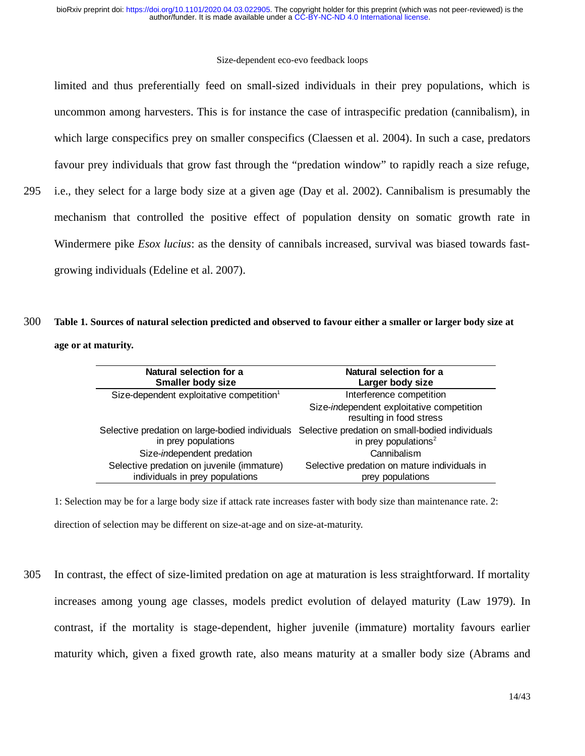#### Size-dependent eco-evo feedback loops

limited and thus preferentially feed on small-sized individuals in their prey populations, which is uncommon among harvesters. This is for instance the case of intraspecific predation (cannibalism), in which large conspecifics prey on smaller conspecifics (Claessen et al. 2004). In such a case, predators favour prey individuals that grow fast through the "predation window" to rapidly reach a size refuge, i.e., they select for a large body size at a given age (Day et al. 2002). Cannibalism is presumably the mechanism that controlled the positive effect of population density on somatic growth rate in Windermere pike *Esox lucius*: as the density of cannibals increased, survival was biased towards fast-

growing individuals (Edeline et al. 2007).

295

### **Table 1. Sources of natural selection predicted and observed to favour either a smaller or larger body size at age or at maturity.** 300

| Natural selection for a<br><b>Smaller body size</b>                           | Natural selection for a<br>Larger body size                                                                                         |
|-------------------------------------------------------------------------------|-------------------------------------------------------------------------------------------------------------------------------------|
| Size-dependent exploitative competition <sup>1</sup>                          | Interference competition                                                                                                            |
|                                                                               | Size-independent exploitative competition<br>resulting in food stress                                                               |
| in prey populations                                                           | Selective predation on large-bodied individuals Selective predation on small-bodied individuals<br>in prey populations <sup>2</sup> |
| Size-independent predation                                                    | Cannibalism                                                                                                                         |
| Selective predation on juvenile (immature)<br>individuals in prey populations | Selective predation on mature individuals in<br>prey populations                                                                    |

1: Selection may be for a large body size if attack rate increases faster with body size than maintenance rate. 2: direction of selection may be different on size-at-age and on size-at-maturity.

In contrast, the effect of size-limited predation on age at maturation is less straightforward. If mortality increases among young age classes, models predict evolution of delayed maturity (Law 1979). In contrast, if the mortality is stage-dependent, higher juvenile (immature) mortality favours earlier maturity which, given a fixed growth rate, also means maturity at a smaller body size (Abrams and 305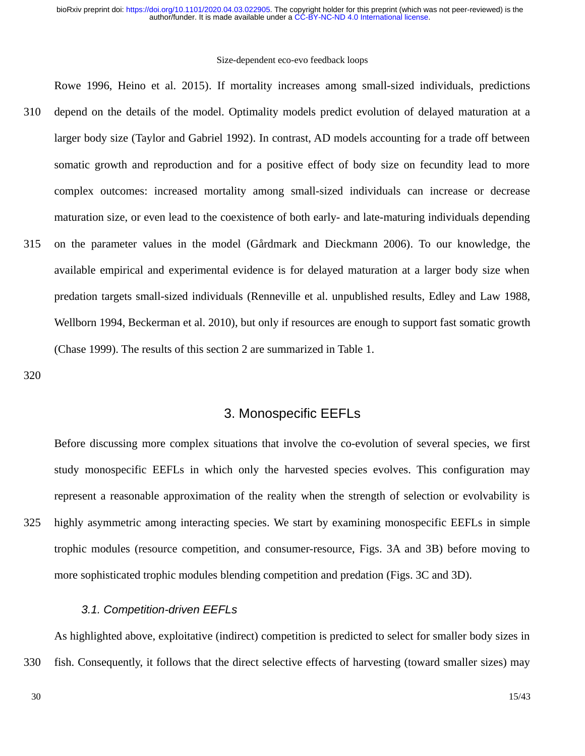#### Size-dependent eco-evo feedback loops

Rowe 1996, Heino et al. 2015). If mortality increases among small-sized individuals, predictions depend on the details of the model. Optimality models predict evolution of delayed maturation at a larger body size (Taylor and Gabriel 1992). In contrast, AD models accounting for a trade off between somatic growth and reproduction and for a positive effect of body size on fecundity lead to more complex outcomes: increased mortality among small-sized individuals can increase or decrease maturation size, or even lead to the coexistence of both early- and late-maturing individuals depending on the parameter values in the model (Gårdmark and Dieckmann 2006). To our knowledge, the available empirical and experimental evidence is for delayed maturation at a larger body size when predation targets small-sized individuals (Renneville et al. unpublished results, Edley and Law 1988, Wellborn 1994, Beckerman et al. 2010), but only if resources are enough to support fast somatic growth (Chase 1999). The results of this section 2 are summarized in Table 1. 310 315

320

## 3. Monospecific EEFLs

Before discussing more complex situations that involve the co-evolution of several species, we first study monospecific EEFLs in which only the harvested species evolves. This configuration may represent a reasonable approximation of the reality when the strength of selection or evolvability is highly asymmetric among interacting species. We start by examining monospecific EEFLs in simple trophic modules (resource competition, and consumer-resource, Figs. 3A and 3B) before moving to more sophisticated trophic modules blending competition and predation (Figs. 3C and 3D). 325

### *3.1. Competition-driven EEFLs*

As highlighted above, exploitative (indirect) competition is predicted to select for smaller body sizes in fish. Consequently, it follows that the direct selective effects of harvesting (toward smaller sizes) may 330

15/43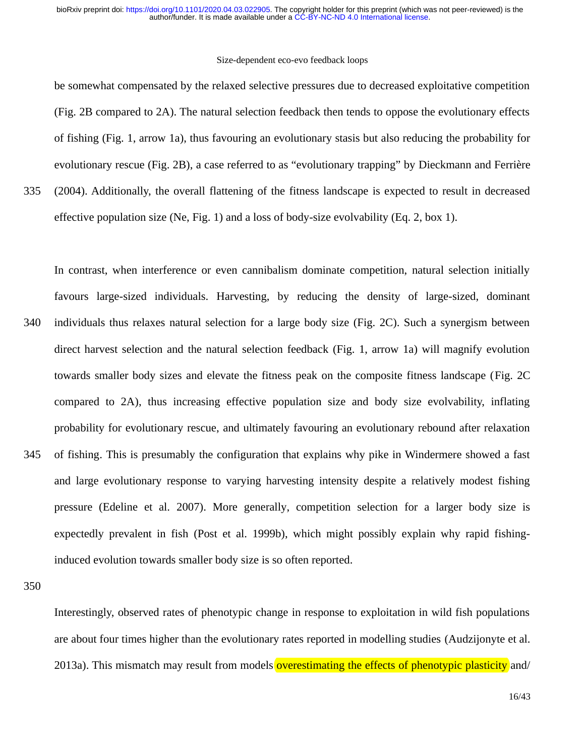#### Size-dependent eco-evo feedback loops

be somewhat compensated by the relaxed selective pressures due to decreased exploitative competition (Fig. 2B compared to 2A). The natural selection feedback then tends to oppose the evolutionary effects of fishing (Fig. 1, arrow 1a), thus favouring an evolutionary stasis but also reducing the probability for evolutionary rescue (Fig. 2B), a case referred to as "evolutionary trapping" by Dieckmann and Ferrière (2004). Additionally, the overall flattening of the fitness landscape is expected to result in decreased

effective population size (Ne, Fig. 1) and a loss of body-size evolvability (Eq. 2, box 1).

In contrast, when interference or even cannibalism dominate competition, natural selection initially favours large-sized individuals. Harvesting, by reducing the density of large-sized, dominant individuals thus relaxes natural selection for a large body size (Fig. 2C). Such a synergism between direct harvest selection and the natural selection feedback (Fig. 1, arrow 1a) will magnify evolution towards smaller body sizes and elevate the fitness peak on the composite fitness landscape (Fig. 2C compared to 2A), thus increasing effective population size and body size evolvability, inflating probability for evolutionary rescue, and ultimately favouring an evolutionary rebound after relaxation of fishing. This is presumably the configuration that explains why pike in Windermere showed a fast and large evolutionary response to varying harvesting intensity despite a relatively modest fishing pressure (Edeline et al. 2007). More generally, competition selection for a larger body size is expectedly prevalent in fish (Post et al. 1999b), which might possibly explain why rapid fishinginduced evolution towards smaller body size is so often reported. 340 345

350

335

Interestingly, observed rates of phenotypic change in response to exploitation in wild fish populations are about four times higher than the evolutionary rates reported in modelling studies (Audzijonyte et al. 2013a). This mismatch may result from models **overestimating the effects of phenotypic plasticity** and/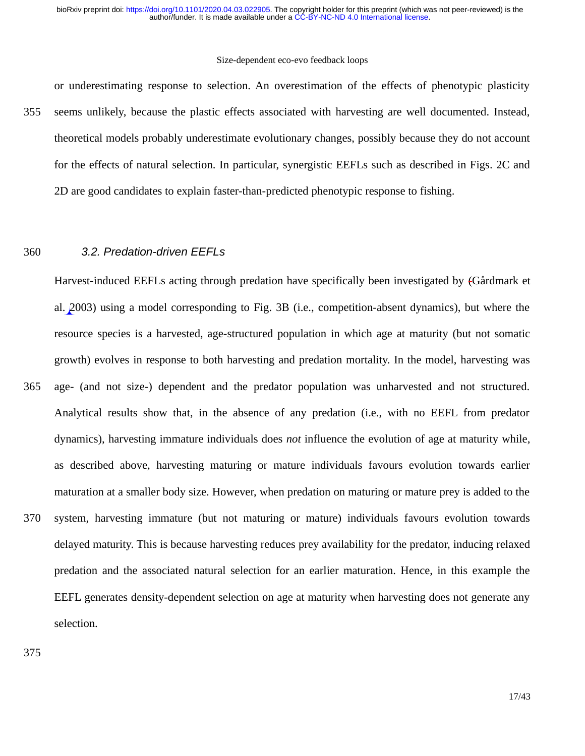or underestimating response to selection. An overestimation of the effects of phenotypic plasticity seems unlikely, because the plastic effects associated with harvesting are well documented. Instead, theoretical models probably underestimate evolutionary changes, possibly because they do not account for the effects of natural selection. In particular, synergistic EEFLs such as described in Figs. 2C and 2D are good candidates to explain faster-than-predicted phenotypic response to fishing. 355

#### *3.2. Predation-driven EEFLs* 360

Harvest-induced EEFLs acting through predation have specifically been investigated by (Gårdmark et al. 2003) using a model corresponding to Fig. 3B (i.e., competition-absent dynamics), but where the resource species is a harvested, age-structured population in which age at maturity (but not somatic growth) evolves in response to both harvesting and predation mortality. In the model, harvesting was age- (and not size-) dependent and the predator population was unharvested and not structured. Analytical results show that, in the absence of any predation (i.e., with no EEFL from predator dynamics), harvesting immature individuals does *not* influence the evolution of age at maturity while, as described above, harvesting maturing or mature individuals favours evolution towards earlier maturation at a smaller body size. However, when predation on maturing or mature prey is added to the system, harvesting immature (but not maturing or mature) individuals favours evolution towards delayed maturity. This is because harvesting reduces prey availability for the predator, inducing relaxed predation and the associated natural selection for an earlier maturation. Hence, in this example the EEFL generates density-dependent selection on age at maturity when harvesting does not generate any selection. 365 370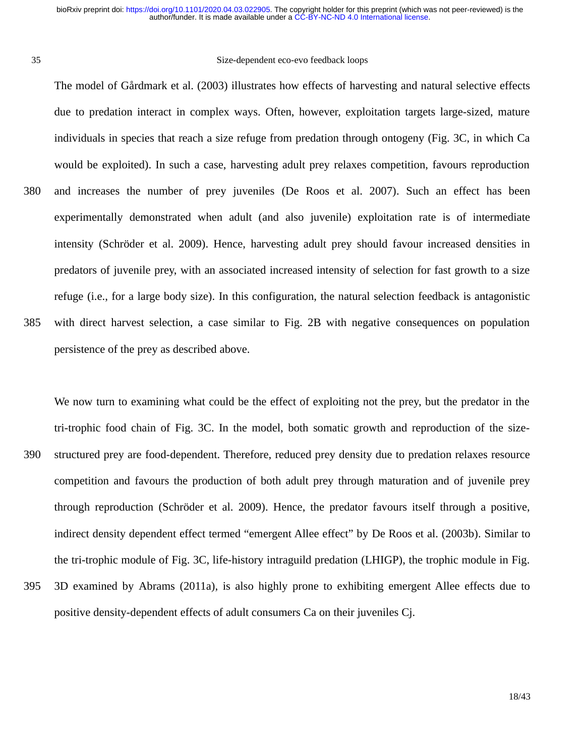35

#### Size-dependent eco-evo feedback loops

The model of Gårdmark et al. (2003) illustrates how effects of harvesting and natural selective effects due to predation interact in complex ways. Often, however, exploitation targets large-sized, mature individuals in species that reach a size refuge from predation through ontogeny (Fig. 3C, in which Ca would be exploited). In such a case, harvesting adult prey relaxes competition, favours reproduction and increases the number of prey juveniles (De Roos et al. 2007). Such an effect has been experimentally demonstrated when adult (and also juvenile) exploitation rate is of intermediate intensity (Schröder et al. 2009). Hence, harvesting adult prey should favour increased densities in predators of juvenile prey, with an associated increased intensity of selection for fast growth to a size refuge (i.e., for a large body size). In this configuration, the natural selection feedback is antagonistic with direct harvest selection, a case similar to Fig. 2B with negative consequences on population persistence of the prey as described above. 380 385

We now turn to examining what could be the effect of exploiting not the prey, but the predator in the tri-trophic food chain of Fig. 3C. In the model, both somatic growth and reproduction of the sizestructured prey are food-dependent. Therefore, reduced prey density due to predation relaxes resource competition and favours the production of both adult prey through maturation and of juvenile prey through reproduction (Schröder et al. 2009). Hence, the predator favours itself through a positive, indirect density dependent effect termed "emergent Allee effect" by De Roos et al. (2003b). Similar to the tri-trophic module of Fig. 3C, life-history intraguild predation (LHIGP), the trophic module in Fig. 3D examined by Abrams (2011a), is also highly prone to exhibiting emergent Allee effects due to 390 395

positive density-dependent effects of adult consumers Ca on their juveniles Cj.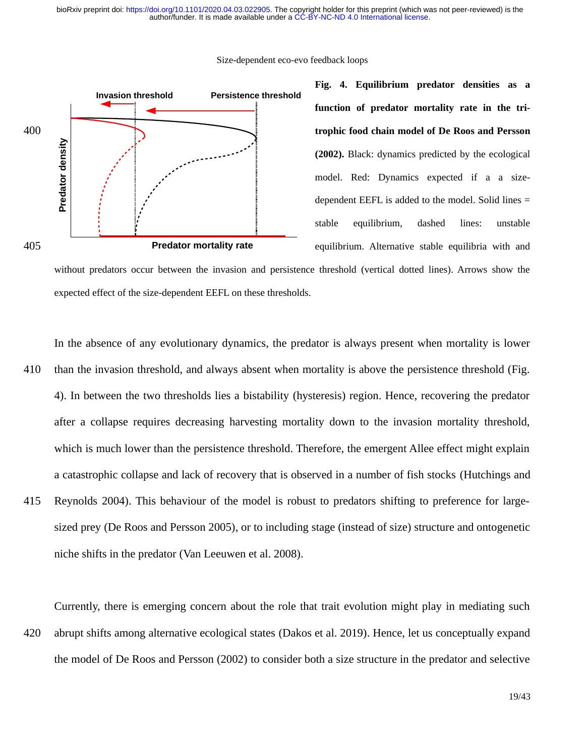Size-dependent eco-evo feedback loops



niche shifts in the predator (Van Leeuwen et al. 2008).

**Fig. 4. Equilibrium predator densities as a function of predator mortality rate in the tritrophic food chain model of De Roos and Persson (2002).** Black: dynamics predicted by the ecological model. Red: Dynamics expected if a a sizedependent EEFL is added to the model. Solid lines = stable equilibrium, dashed lines: unstable equilibrium. Alternative stable equilibria with and

without predators occur between the invasion and persistence threshold (vertical dotted lines). Arrows show the expected effect of the size-dependent EEFL on these thresholds.

In the absence of any evolutionary dynamics, the predator is always present when mortality is lower than the invasion threshold, and always absent when mortality is above the persistence threshold (Fig. 4). In between the two thresholds lies a bistability (hysteresis) region. Hence, recovering the predator after a collapse requires decreasing harvesting mortality down to the invasion mortality threshold, which is much lower than the persistence threshold. Therefore, the emergent Allee effect might explain a catastrophic collapse and lack of recovery that is observed in a number of fish stocks (Hutchings and Reynolds 2004). This behaviour of the model is robust to predators shifting to preference for largesized prey (De Roos and Persson 2005), or to including stage (instead of size) structure and ontogenetic 410 415

Currently, there is emerging concern about the role that trait evolution might play in mediating such abrupt shifts among alternative ecological states (Dakos et al. 2019). Hence, let us conceptually expand the model of De Roos and Persson (2002) to consider both a size structure in the predator and selective 420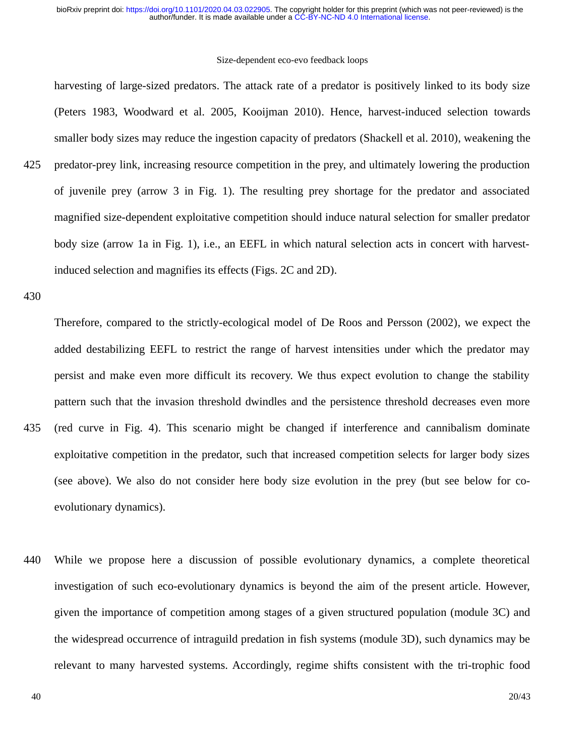harvesting of large-sized predators. The attack rate of a predator is positively linked to its body size (Peters 1983, Woodward et al. 2005, Kooijman 2010). Hence, harvest-induced selection towards smaller body sizes may reduce the ingestion capacity of predators (Shackell et al. 2010), weakening the predator-prey link, increasing resource competition in the prey, and ultimately lowering the production of juvenile prey (arrow 3 in Fig. 1). The resulting prey shortage for the predator and associated magnified size-dependent exploitative competition should induce natural selection for smaller predator body size (arrow 1a in Fig. 1), i.e., an EEFL in which natural selection acts in concert with harvestinduced selection and magnifies its effects (Figs. 2C and 2D). 425

430

Therefore, compared to the strictly-ecological model of De Roos and Persson (2002), we expect the added destabilizing EEFL to restrict the range of harvest intensities under which the predator may persist and make even more difficult its recovery. We thus expect evolution to change the stability pattern such that the invasion threshold dwindles and the persistence threshold decreases even more (red curve in Fig. 4). This scenario might be changed if interference and cannibalism dominate exploitative competition in the predator, such that increased competition selects for larger body sizes (see above). We also do not consider here body size evolution in the prey (but see below for coevolutionary dynamics). 435

While we propose here a discussion of possible evolutionary dynamics, a complete theoretical investigation of such eco-evolutionary dynamics is beyond the aim of the present article. However, given the importance of competition among stages of a given structured population (module 3C) and the widespread occurrence of intraguild predation in fish systems (module 3D), such dynamics may be relevant to many harvested systems. Accordingly, regime shifts consistent with the tri-trophic food 440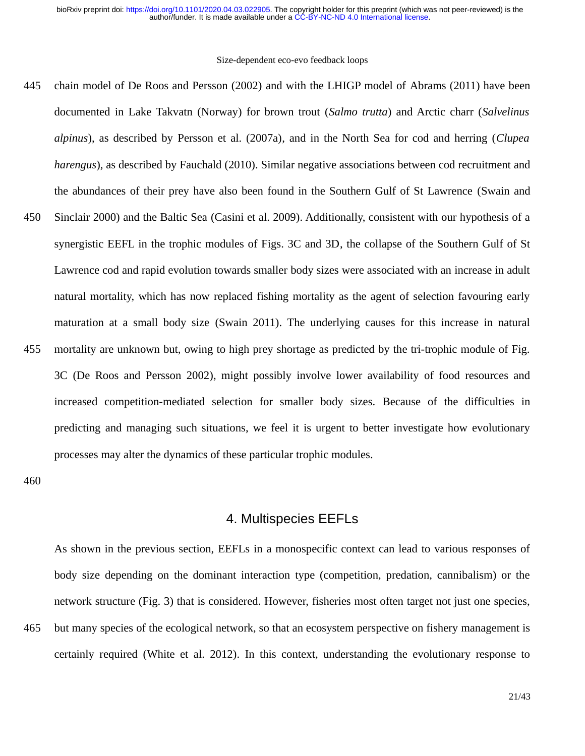chain model of De Roos and Persson (2002) and with the LHIGP model of Abrams (2011) have been documented in Lake Takvatn (Norway) for brown trout (*Salmo trutta*) and Arctic charr (*Salvelinus alpinus*), as described by Persson et al. (2007a), and in the North Sea for cod and herring (*Clupea harengus*), as described by Fauchald (2010). Similar negative associations between cod recruitment and the abundances of their prey have also been found in the Southern Gulf of St Lawrence (Swain and Sinclair 2000) and the Baltic Sea (Casini et al. 2009). Additionally, consistent with our hypothesis of a synergistic EEFL in the trophic modules of Figs. 3C and 3D, the collapse of the Southern Gulf of St Lawrence cod and rapid evolution towards smaller body sizes were associated with an increase in adult natural mortality, which has now replaced fishing mortality as the agent of selection favouring early maturation at a small body size (Swain 2011). The underlying causes for this increase in natural mortality are unknown but, owing to high prey shortage as predicted by the tri-trophic module of Fig. 3C (De Roos and Persson 2002), might possibly involve lower availability of food resources and increased competition-mediated selection for smaller body sizes. Because of the difficulties in predicting and managing such situations, we feel it is urgent to better investigate how evolutionary processes may alter the dynamics of these particular trophic modules. 445 450 455

460

465

### 4. Multispecies EEFLs

As shown in the previous section, EEFLs in a monospecific context can lead to various responses of body size depending on the dominant interaction type (competition, predation, cannibalism) or the network structure (Fig. 3) that is considered. However, fisheries most often target not just one species, but many species of the ecological network, so that an ecosystem perspective on fishery management is certainly required (White et al. 2012). In this context, understanding the evolutionary response to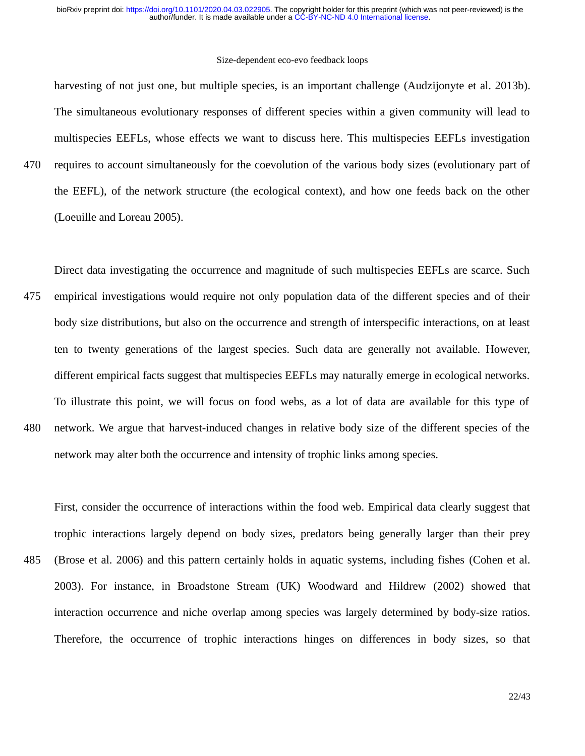harvesting of not just one, but multiple species, is an important challenge (Audzijonyte et al. 2013b). The simultaneous evolutionary responses of different species within a given community will lead to multispecies EEFLs, whose effects we want to discuss here. This multispecies EEFLs investigation requires to account simultaneously for the coevolution of the various body sizes (evolutionary part of the EEFL), of the network structure (the ecological context), and how one feeds back on the other (Loeuille and Loreau 2005).

470

Direct data investigating the occurrence and magnitude of such multispecies EEFLs are scarce. Such empirical investigations would require not only population data of the different species and of their body size distributions, but also on the occurrence and strength of interspecific interactions, on at least ten to twenty generations of the largest species. Such data are generally not available. However, different empirical facts suggest that multispecies EEFLs may naturally emerge in ecological networks. To illustrate this point, we will focus on food webs, as a lot of data are available for this type of network. We argue that harvest-induced changes in relative body size of the different species of the network may alter both the occurrence and intensity of trophic links among species. 475 480

First, consider the occurrence of interactions within the food web. Empirical data clearly suggest that trophic interactions largely depend on body sizes, predators being generally larger than their prey (Brose et al. 2006) and this pattern certainly holds in aquatic systems, including fishes (Cohen et al. 2003). For instance, in Broadstone Stream (UK) Woodward and Hildrew (2002) showed that interaction occurrence and niche overlap among species was largely determined by body-size ratios. Therefore, the occurrence of trophic interactions hinges on differences in body sizes, so that 485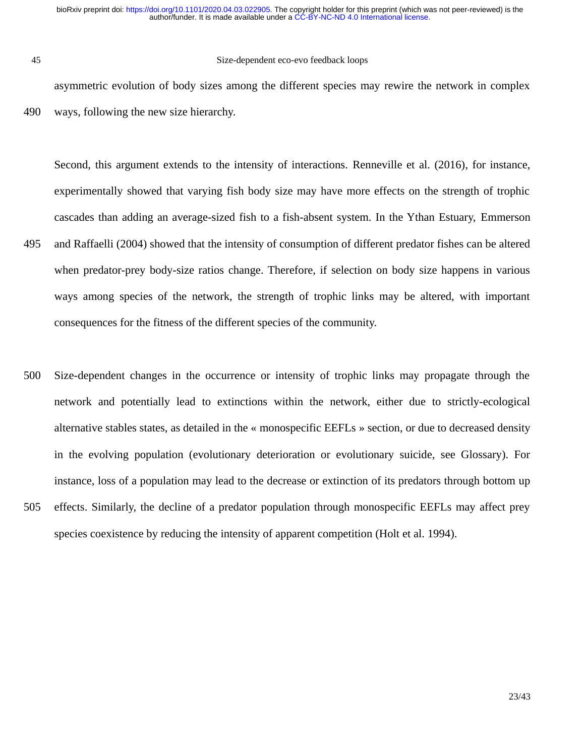45

#### Size-dependent eco-evo feedback loops

asymmetric evolution of body sizes among the different species may rewire the network in complex ways, following the new size hierarchy. 490

Second, this argument extends to the intensity of interactions. Renneville et al. (2016), for instance, experimentally showed that varying fish body size may have more effects on the strength of trophic cascades than adding an average-sized fish to a fish-absent system. In the Ythan Estuary, Emmerson and Raffaelli (2004) showed that the intensity of consumption of different predator fishes can be altered when predator-prey body-size ratios change. Therefore, if selection on body size happens in various ways among species of the network, the strength of trophic links may be altered, with important consequences for the fitness of the different species of the community. 495

Size-dependent changes in the occurrence or intensity of trophic links may propagate through the network and potentially lead to extinctions within the network, either due to strictly-ecological alternative stables states, as detailed in the « monospecific EEFLs » section, or due to decreased density in the evolving population (evolutionary deterioration or evolutionary suicide, see Glossary). For instance, loss of a population may lead to the decrease or extinction of its predators through bottom up effects. Similarly, the decline of a predator population through monospecific EEFLs may affect prey species coexistence by reducing the intensity of apparent competition (Holt et al. 1994). 500 505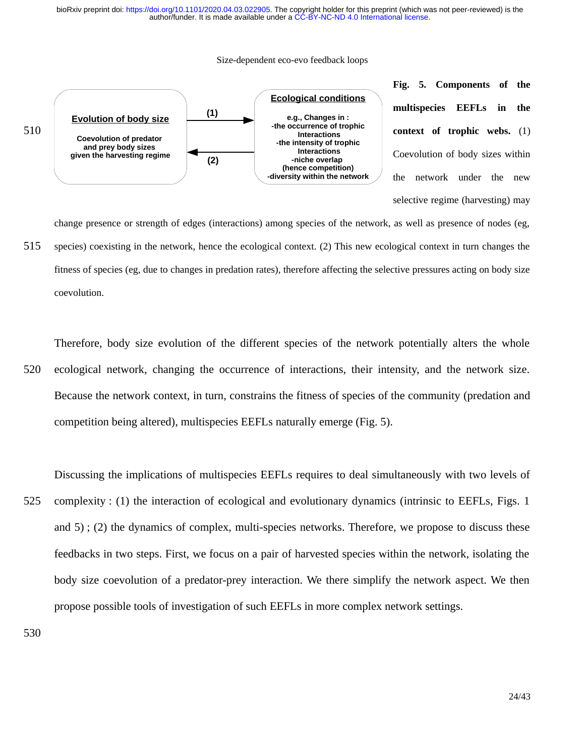#### Size-dependent eco-evo feedback loops



change presence or strength of edges (interactions) among species of the network, as well as presence of nodes (eg, species) coexisting in the network, hence the ecological context. (2) This new ecological context in turn changes the fitness of species (eg, due to changes in predation rates), therefore affecting the selective pressures acting on body size coevolution. 515

Therefore, body size evolution of the different species of the network potentially alters the whole ecological network, changing the occurrence of interactions, their intensity, and the network size. Because the network context, in turn, constrains the fitness of species of the community (predation and competition being altered), multispecies EEFLs naturally emerge (Fig. 5). 520

Discussing the implications of multispecies EEFLs requires to deal simultaneously with two levels of complexity : (1) the interaction of ecological and evolutionary dynamics (intrinsic to EEFLs, Figs. 1 and 5) ; (2) the dynamics of complex, multi-species networks. Therefore, we propose to discuss these feedbacks in two steps. First, we focus on a pair of harvested species within the network, isolating the body size coevolution of a predator-prey interaction. We there simplify the network aspect. We then propose possible tools of investigation of such EEFLs in more complex network settings. 525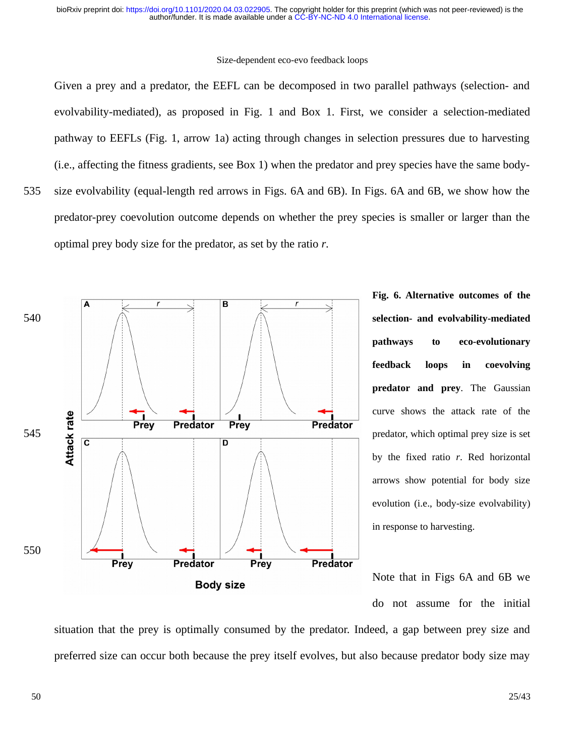Given a prey and a predator, the EEFL can be decomposed in two parallel pathways (selection- and evolvability-mediated), as proposed in Fig. 1 and Box 1. First, we consider a selection-mediated pathway to EEFLs (Fig. 1, arrow 1a) acting through changes in selection pressures due to harvesting (i.e., affecting the fitness gradients, see Box 1) when the predator and prey species have the same bodysize evolvability (equal-length red arrows in Figs. 6A and 6B). In Figs. 6A and 6B, we show how the predator-prey coevolution outcome depends on whether the prey species is smaller or larger than the optimal prey body size for the predator, as set by the ratio *r*.



**Fig. 6. Alternative outcomes of the selection- and evolvability-mediated pathways to eco-evolutionary feedback loops in coevolving predator and prey**. The Gaussian curve shows the attack rate of the predator, which optimal prey size is set by the fixed ratio *r*. Red horizontal arrows show potential for body size evolution (i.e., body-size evolvability) in response to harvesting.

Note that in Figs 6A and 6B we do not assume for the initial

situation that the prey is optimally consumed by the predator. Indeed, a gap between prey size and preferred size can occur both because the prey itself evolves, but also because predator body size may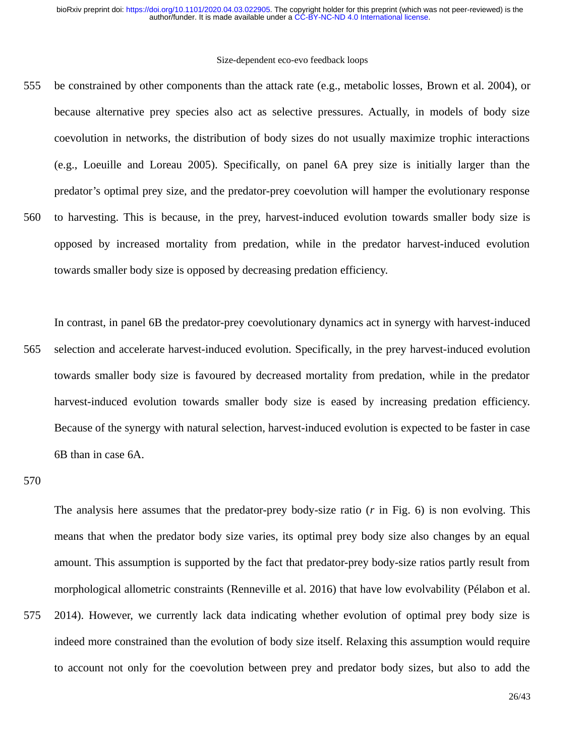be constrained by other components than the attack rate (e.g., metabolic losses, Brown et al. 2004), or because alternative prey species also act as selective pressures. Actually, in models of body size coevolution in networks, the distribution of body sizes do not usually maximize trophic interactions (e.g., Loeuille and Loreau 2005). Specifically, on panel 6A prey size is initially larger than the predator's optimal prey size, and the predator-prey coevolution will hamper the evolutionary response to harvesting. This is because, in the prey, harvest-induced evolution towards smaller body size is opposed by increased mortality from predation, while in the predator harvest-induced evolution towards smaller body size is opposed by decreasing predation efficiency. 555 560

In contrast, in panel 6B the predator-prey coevolutionary dynamics act in synergy with harvest-induced selection and accelerate harvest-induced evolution. Specifically, in the prey harvest-induced evolution towards smaller body size is favoured by decreased mortality from predation, while in the predator harvest-induced evolution towards smaller body size is eased by increasing predation efficiency. Because of the synergy with natural selection, harvest-induced evolution is expected to be faster in case 6B than in case 6A. 565

570

575

The analysis here assumes that the predator-prey body-size ratio (*r* in Fig. 6) is non evolving. This means that when the predator body size varies, its optimal prey body size also changes by an equal amount. This assumption is supported by the fact that predator-prey body-size ratios partly result from morphological allometric constraints (Renneville et al. 2016) that have low evolvability (Pélabon et al. 2014). However, we currently lack data indicating whether evolution of optimal prey body size is indeed more constrained than the evolution of body size itself. Relaxing this assumption would require

to account not only for the coevolution between prey and predator body sizes, but also to add the

26/43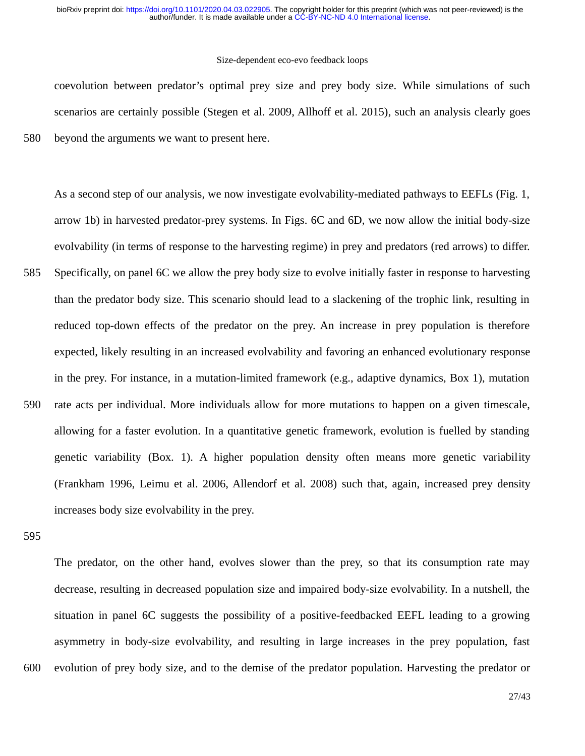#### Size-dependent eco-evo feedback loops

coevolution between predator's optimal prey size and prey body size. While simulations of such scenarios are certainly possible (Stegen et al. 2009, Allhoff et al. 2015), such an analysis clearly goes beyond the arguments we want to present here.

As a second step of our analysis, we now investigate evolvability-mediated pathways to EEFLs (Fig. 1, arrow 1b) in harvested predator-prey systems. In Figs. 6C and 6D, we now allow the initial body-size evolvability (in terms of response to the harvesting regime) in prey and predators (red arrows) to differ. Specifically, on panel 6C we allow the prey body size to evolve initially faster in response to harvesting than the predator body size. This scenario should lead to a slackening of the trophic link, resulting in reduced top-down effects of the predator on the prey. An increase in prey population is therefore expected, likely resulting in an increased evolvability and favoring an enhanced evolutionary response in the prey. For instance, in a mutation-limited framework (e.g., adaptive dynamics, Box 1), mutation rate acts per individual. More individuals allow for more mutations to happen on a given timescale, allowing for a faster evolution. In a quantitative genetic framework, evolution is fuelled by standing genetic variability (Box. 1). A higher population density often means more genetic variability (Frankham 1996, Leimu et al. 2006, Allendorf et al. 2008) such that, again, increased prey density increases body size evolvability in the prey. 585 590

595

600

580

The predator, on the other hand, evolves slower than the prey, so that its consumption rate may decrease, resulting in decreased population size and impaired body-size evolvability. In a nutshell, the situation in panel 6C suggests the possibility of a positive-feedbacked EEFL leading to a growing asymmetry in body-size evolvability, and resulting in large increases in the prey population, fast evolution of prey body size, and to the demise of the predator population. Harvesting the predator or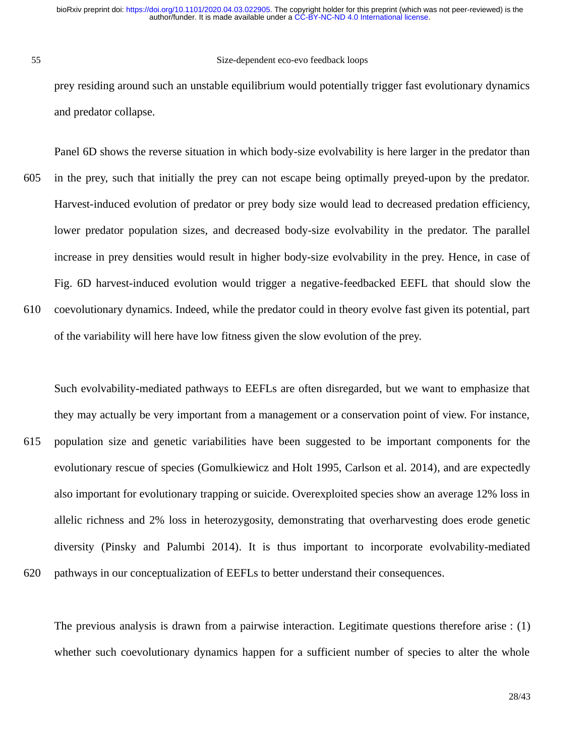55

#### Size-dependent eco-evo feedback loops

prey residing around such an unstable equilibrium would potentially trigger fast evolutionary dynamics and predator collapse.

Panel 6D shows the reverse situation in which body-size evolvability is here larger in the predator than in the prey, such that initially the prey can not escape being optimally preyed-upon by the predator. Harvest-induced evolution of predator or prey body size would lead to decreased predation efficiency, lower predator population sizes, and decreased body-size evolvability in the predator. The parallel increase in prey densities would result in higher body-size evolvability in the prey. Hence, in case of Fig. 6D harvest-induced evolution would trigger a negative-feedbacked EEFL that should slow the coevolutionary dynamics. Indeed, while the predator could in theory evolve fast given its potential, part of the variability will here have low fitness given the slow evolution of the prey. 605 610

Such evolvability-mediated pathways to EEFLs are often disregarded, but we want to emphasize that they may actually be very important from a management or a conservation point of view. For instance, population size and genetic variabilities have been suggested to be important components for the evolutionary rescue of species (Gomulkiewicz and Holt 1995, Carlson et al. 2014), and are expectedly also important for evolutionary trapping or suicide. Overexploited species show an average 12% loss in allelic richness and 2% loss in heterozygosity, demonstrating that overharvesting does erode genetic diversity (Pinsky and Palumbi 2014). It is thus important to incorporate evolvability-mediated pathways in our conceptualization of EEFLs to better understand their consequences. 615 620

The previous analysis is drawn from a pairwise interaction. Legitimate questions therefore arise : (1) whether such coevolutionary dynamics happen for a sufficient number of species to alter the whole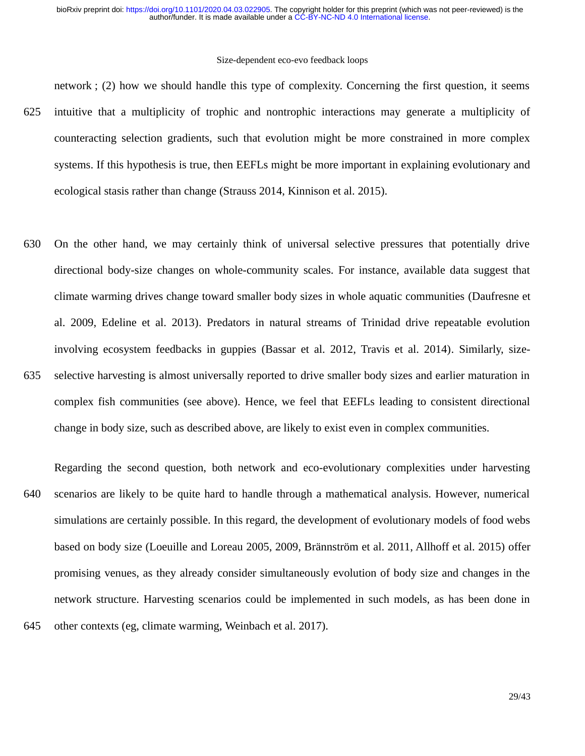network ; (2) how we should handle this type of complexity. Concerning the first question, it seems

- intuitive that a multiplicity of trophic and nontrophic interactions may generate a multiplicity of counteracting selection gradients, such that evolution might be more constrained in more complex systems. If this hypothesis is true, then EEFLs might be more important in explaining evolutionary and ecological stasis rather than change (Strauss 2014, Kinnison et al. 2015). 625
- On the other hand, we may certainly think of universal selective pressures that potentially drive directional body-size changes on whole-community scales. For instance, available data suggest that climate warming drives change toward smaller body sizes in whole aquatic communities (Daufresne et al. 2009, Edeline et al. 2013). Predators in natural streams of Trinidad drive repeatable evolution involving ecosystem feedbacks in guppies (Bassar et al. 2012, Travis et al. 2014). Similarly, sizeselective harvesting is almost universally reported to drive smaller body sizes and earlier maturation in complex fish communities (see above). Hence, we feel that EEFLs leading to consistent directional 630 635

change in body size, such as described above, are likely to exist even in complex communities.

Regarding the second question, both network and eco-evolutionary complexities under harvesting scenarios are likely to be quite hard to handle through a mathematical analysis. However, numerical simulations are certainly possible. In this regard, the development of evolutionary models of food webs based on body size (Loeuille and Loreau 2005, 2009, Brännström et al. 2011, Allhoff et al. 2015) offer promising venues, as they already consider simultaneously evolution of body size and changes in the network structure. Harvesting scenarios could be implemented in such models, as has been done in other contexts (eg, climate warming, Weinbach et al. 2017). 640 645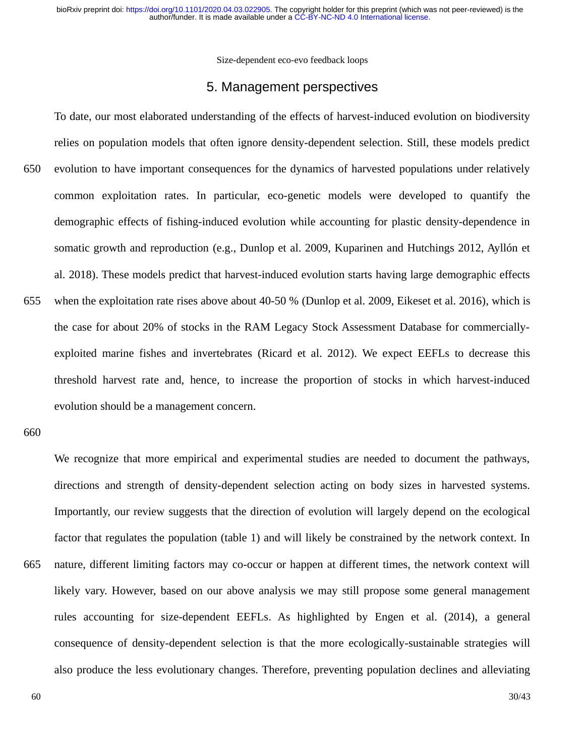### 5. Management perspectives

To date, our most elaborated understanding of the effects of harvest-induced evolution on biodiversity relies on population models that often ignore density-dependent selection. Still, these models predict evolution to have important consequences for the dynamics of harvested populations under relatively common exploitation rates. In particular, eco-genetic models were developed to quantify the demographic effects of fishing-induced evolution while accounting for plastic density-dependence in somatic growth and reproduction (e.g., Dunlop et al. 2009, Kuparinen and Hutchings 2012, Ayllón et al. 2018). These models predict that harvest-induced evolution starts having large demographic effects when the exploitation rate rises above about 40-50 % (Dunlop et al. 2009, Eikeset et al. 2016), which is the case for about 20% of stocks in the RAM Legacy Stock Assessment Database for commerciallyexploited marine fishes and invertebrates (Ricard et al. 2012). We expect EEFLs to decrease this threshold harvest rate and, hence, to increase the proportion of stocks in which harvest-induced evolution should be a management concern. 650 655

660

We recognize that more empirical and experimental studies are needed to document the pathways, directions and strength of density-dependent selection acting on body sizes in harvested systems. Importantly, our review suggests that the direction of evolution will largely depend on the ecological factor that regulates the population (table 1) and will likely be constrained by the network context. In nature, different limiting factors may co-occur or happen at different times, the network context will likely vary. However, based on our above analysis we may still propose some general management rules accounting for size-dependent EEFLs. As highlighted by Engen et al. (2014), a general consequence of density-dependent selection is that the more ecologically-sustainable strategies will also produce the less evolutionary changes. Therefore, preventing population declines and alleviating 665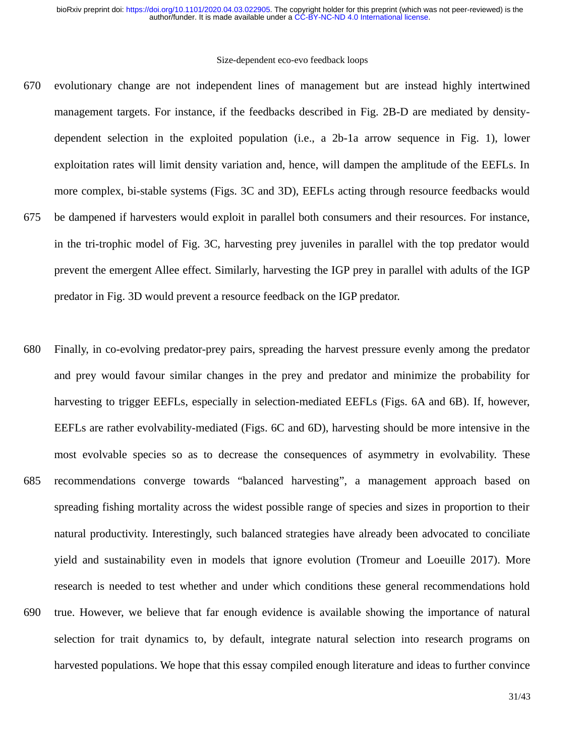- evolutionary change are not independent lines of management but are instead highly intertwined management targets. For instance, if the feedbacks described in Fig. 2B-D are mediated by densitydependent selection in the exploited population (i.e., a 2b-1a arrow sequence in Fig. 1), lower exploitation rates will limit density variation and, hence, will dampen the amplitude of the EEFLs. In more complex, bi-stable systems (Figs. 3C and 3D), EEFLs acting through resource feedbacks would be dampened if harvesters would exploit in parallel both consumers and their resources. For instance, in the tri-trophic model of Fig. 3C, harvesting prey juveniles in parallel with the top predator would prevent the emergent Allee effect. Similarly, harvesting the IGP prey in parallel with adults of the IGP predator in Fig. 3D would prevent a resource feedback on the IGP predator. 670 675
- Finally, in co-evolving predator-prey pairs, spreading the harvest pressure evenly among the predator and prey would favour similar changes in the prey and predator and minimize the probability for harvesting to trigger EEFLs, especially in selection-mediated EEFLs (Figs. 6A and 6B). If, however, EEFLs are rather evolvability-mediated (Figs. 6C and 6D), harvesting should be more intensive in the most evolvable species so as to decrease the consequences of asymmetry in evolvability. These recommendations converge towards "balanced harvesting", a management approach based on spreading fishing mortality across the widest possible range of species and sizes in proportion to their natural productivity. Interestingly, such balanced strategies have already been advocated to conciliate yield and sustainability even in models that ignore evolution (Tromeur and Loeuille 2017). More research is needed to test whether and under which conditions these general recommendations hold true. However, we believe that far enough evidence is available showing the importance of natural selection for trait dynamics to, by default, integrate natural selection into research programs on harvested populations. We hope that this essay compiled enough literature and ideas to further convince 680 685 690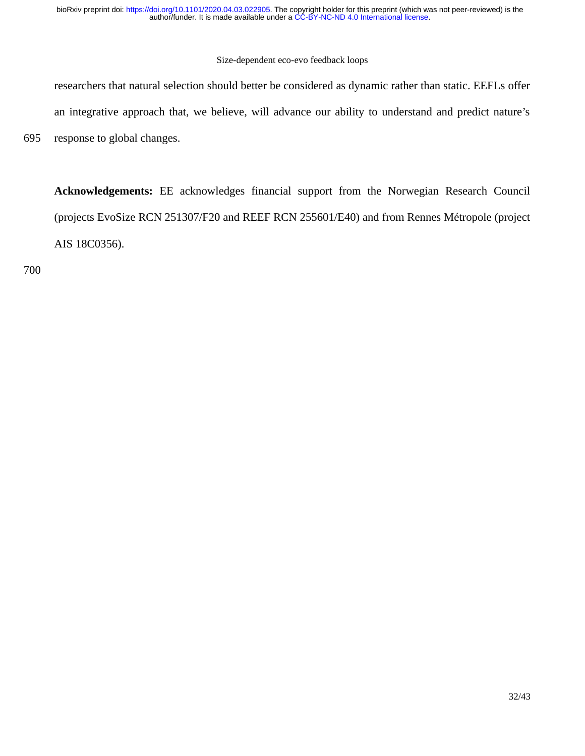### Size-dependent eco-evo feedback loops

researchers that natural selection should better be considered as dynamic rather than static. EEFLs offer an integrative approach that, we believe, will advance our ability to understand and predict nature's response to global changes.

**Acknowledgements:** EE acknowledges financial support from the Norwegian Research Council (projects EvoSize RCN 251307/F20 and REEF RCN 255601/E40) and from Rennes Métropole (project AIS 18C0356).

700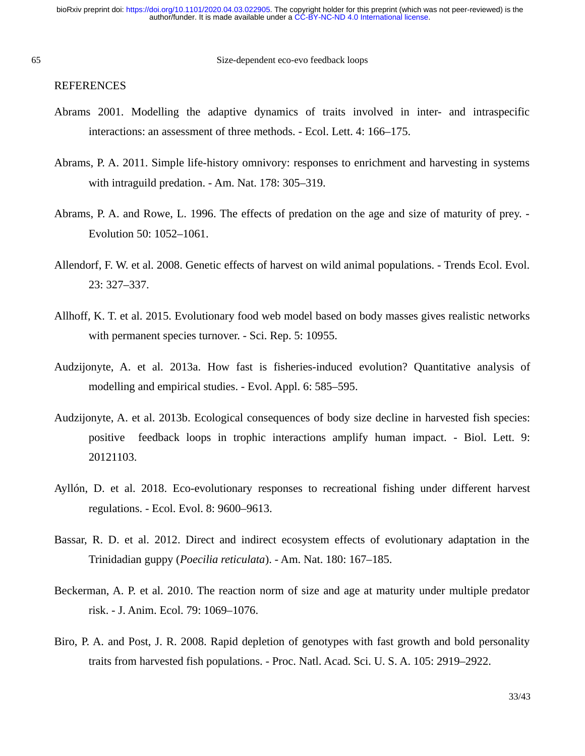#### 65

#### REFERENCES

- Abrams 2001. Modelling the adaptive dynamics of traits involved in inter- and intraspecific interactions: an assessment of three methods. - Ecol. Lett. 4: 166–175.
- Abrams, P. A. 2011. Simple life-history omnivory: responses to enrichment and harvesting in systems with intraguild predation. - Am. Nat. 178: 305–319.
- Abrams, P. A. and Rowe, L. 1996. The effects of predation on the age and size of maturity of prey. Evolution 50: 1052–1061.
- Allendorf, F. W. et al. 2008. Genetic effects of harvest on wild animal populations. Trends Ecol. Evol. 23: 327–337.
- Allhoff, K. T. et al. 2015. Evolutionary food web model based on body masses gives realistic networks with permanent species turnover. - Sci. Rep. 5: 10955.
- Audzijonyte, A. et al. 2013a. How fast is fisheries-induced evolution? Quantitative analysis of modelling and empirical studies. - Evol. Appl. 6: 585–595.
- Audzijonyte, A. et al. 2013b. Ecological consequences of body size decline in harvested fish species: positive feedback loops in trophic interactions amplify human impact. - Biol. Lett. 9: 20121103.
- Ayllón, D. et al. 2018. Eco-evolutionary responses to recreational fishing under different harvest regulations. - Ecol. Evol. 8: 9600–9613.
- Bassar, R. D. et al. 2012. Direct and indirect ecosystem effects of evolutionary adaptation in the Trinidadian guppy (*Poecilia reticulata*). - Am. Nat. 180: 167–185.
- Beckerman, A. P. et al. 2010. The reaction norm of size and age at maturity under multiple predator risk. - J. Anim. Ecol. 79: 1069–1076.
- Biro, P. A. and Post, J. R. 2008. Rapid depletion of genotypes with fast growth and bold personality traits from harvested fish populations. - Proc. Natl. Acad. Sci. U. S. A. 105: 2919–2922.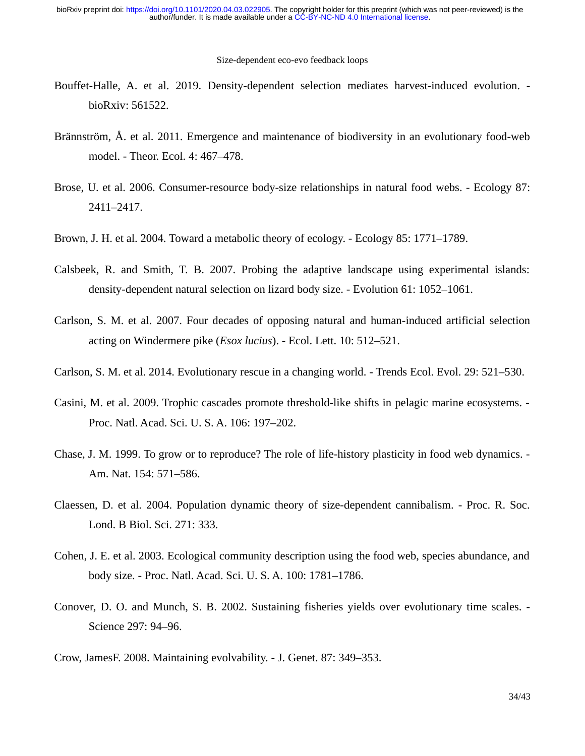- Bouffet-Halle, A. et al. 2019. Density-dependent selection mediates harvest-induced evolution. bioRxiv: 561522.
- Brännström, Å. et al. 2011. Emergence and maintenance of biodiversity in an evolutionary food-web model. - Theor. Ecol. 4: 467–478.
- Brose, U. et al. 2006. Consumer-resource body-size relationships in natural food webs. Ecology 87: 2411–2417.
- Brown, J. H. et al. 2004. Toward a metabolic theory of ecology. Ecology 85: 1771–1789.
- Calsbeek, R. and Smith, T. B. 2007. Probing the adaptive landscape using experimental islands: density-dependent natural selection on lizard body size. - Evolution 61: 1052–1061.
- Carlson, S. M. et al. 2007. Four decades of opposing natural and human-induced artificial selection acting on Windermere pike (*Esox lucius*). - Ecol. Lett. 10: 512–521.
- Carlson, S. M. et al. 2014. Evolutionary rescue in a changing world. Trends Ecol. Evol. 29: 521–530.
- Casini, M. et al. 2009. Trophic cascades promote threshold-like shifts in pelagic marine ecosystems. Proc. Natl. Acad. Sci. U. S. A. 106: 197–202.
- Chase, J. M. 1999. To grow or to reproduce? The role of life-history plasticity in food web dynamics. Am. Nat. 154: 571–586.
- Claessen, D. et al. 2004. Population dynamic theory of size-dependent cannibalism. Proc. R. Soc. Lond. B Biol. Sci. 271: 333.
- Cohen, J. E. et al. 2003. Ecological community description using the food web, species abundance, and body size. - Proc. Natl. Acad. Sci. U. S. A. 100: 1781–1786.
- Conover, D. O. and Munch, S. B. 2002. Sustaining fisheries yields over evolutionary time scales. Science 297: 94–96.
- Crow, JamesF. 2008. Maintaining evolvability. J. Genet. 87: 349–353.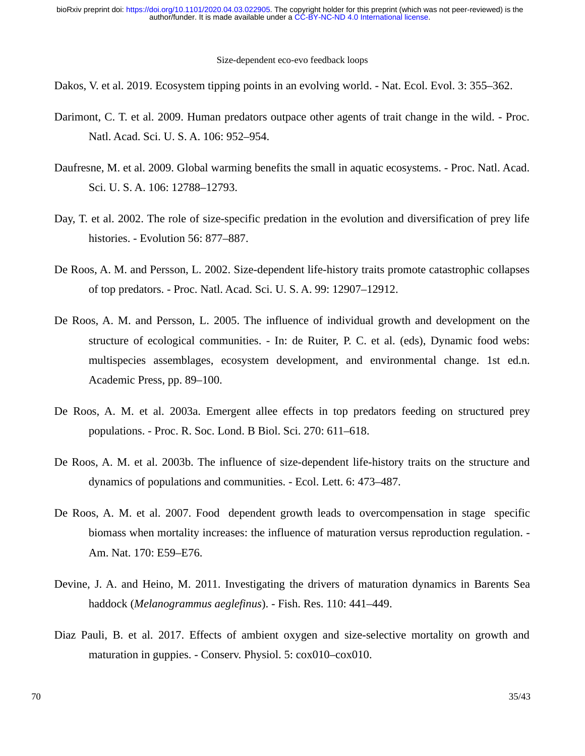Dakos, V. et al. 2019. Ecosystem tipping points in an evolving world. - Nat. Ecol. Evol. 3: 355–362.

- Darimont, C. T. et al. 2009. Human predators outpace other agents of trait change in the wild. Proc. Natl. Acad. Sci. U. S. A. 106: 952–954.
- Daufresne, M. et al. 2009. Global warming benefits the small in aquatic ecosystems. Proc. Natl. Acad. Sci. U. S. A. 106: 12788–12793.
- Day, T. et al. 2002. The role of size-specific predation in the evolution and diversification of prey life histories. - Evolution 56: 877–887.
- De Roos, A. M. and Persson, L. 2002. Size-dependent life-history traits promote catastrophic collapses of top predators. - Proc. Natl. Acad. Sci. U. S. A. 99: 12907–12912.
- De Roos, A. M. and Persson, L. 2005. The influence of individual growth and development on the structure of ecological communities. - In: de Ruiter, P. C. et al. (eds), Dynamic food webs: multispecies assemblages, ecosystem development, and environmental change. 1st ed.n. Academic Press, pp. 89–100.
- De Roos, A. M. et al. 2003a. Emergent allee effects in top predators feeding on structured prey populations. - Proc. R. Soc. Lond. B Biol. Sci. 270: 611–618.
- De Roos, A. M. et al. 2003b. The influence of size-dependent life-history traits on the structure and dynamics of populations and communities. - Ecol. Lett. 6: 473–487.
- De Roos, A. M. et al. 2007. Food dependent growth leads to overcompensation in stage specific biomass when mortality increases: the influence of maturation versus reproduction regulation. - Am. Nat. 170: E59–E76.
- Devine, J. A. and Heino, M. 2011. Investigating the drivers of maturation dynamics in Barents Sea haddock (*Melanogrammus aeglefinus*). - Fish. Res. 110: 441–449.
- Diaz Pauli, B. et al. 2017. Effects of ambient oxygen and size-selective mortality on growth and maturation in guppies. - Conserv. Physiol. 5: cox010–cox010.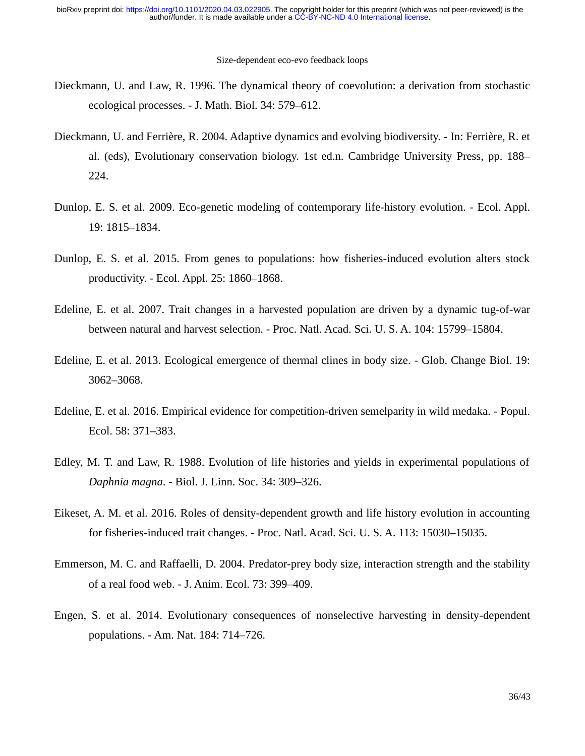- Dieckmann, U. and Law, R. 1996. The dynamical theory of coevolution: a derivation from stochastic ecological processes. - J. Math. Biol. 34: 579–612.
- Dieckmann, U. and Ferrière, R. 2004. Adaptive dynamics and evolving biodiversity. In: Ferrière, R. et al. (eds), Evolutionary conservation biology. 1st ed.n. Cambridge University Press, pp. 188– 224.
- Dunlop, E. S. et al. 2009. Eco-genetic modeling of contemporary life-history evolution. Ecol. Appl. 19: 1815–1834.
- Dunlop, E. S. et al. 2015. From genes to populations: how fisheries-induced evolution alters stock productivity. - Ecol. Appl. 25: 1860–1868.
- Edeline, E. et al. 2007. Trait changes in a harvested population are driven by a dynamic tug-of-war between natural and harvest selection. - Proc. Natl. Acad. Sci. U. S. A. 104: 15799–15804.
- Edeline, E. et al. 2013. Ecological emergence of thermal clines in body size. Glob. Change Biol. 19: 3062–3068.
- Edeline, E. et al. 2016. Empirical evidence for competition-driven semelparity in wild medaka. Popul. Ecol. 58: 371–383.
- Edley, M. T. and Law, R. 1988. Evolution of life histories and yields in experimental populations of *Daphnia magna*. - Biol. J. Linn. Soc. 34: 309–326.
- Eikeset, A. M. et al. 2016. Roles of density-dependent growth and life history evolution in accounting for fisheries-induced trait changes. - Proc. Natl. Acad. Sci. U. S. A. 113: 15030–15035.
- Emmerson, M. C. and Raffaelli, D. 2004. Predator-prey body size, interaction strength and the stability of a real food web. - J. Anim. Ecol. 73: 399–409.
- Engen, S. et al. 2014. Evolutionary consequences of nonselective harvesting in density-dependent populations. - Am. Nat. 184: 714–726.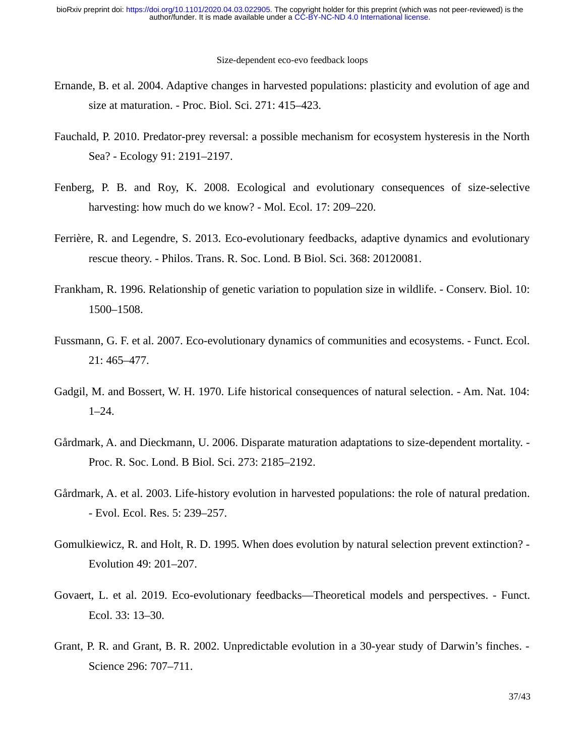- Ernande, B. et al. 2004. Adaptive changes in harvested populations: plasticity and evolution of age and size at maturation. - Proc. Biol. Sci. 271: 415–423.
- Fauchald, P. 2010. Predator-prey reversal: a possible mechanism for ecosystem hysteresis in the North Sea? - Ecology 91: 2191–2197.
- Fenberg, P. B. and Roy, K. 2008. Ecological and evolutionary consequences of size-selective harvesting: how much do we know? - Mol. Ecol. 17: 209–220.
- Ferrière, R. and Legendre, S. 2013. Eco-evolutionary feedbacks, adaptive dynamics and evolutionary rescue theory. - Philos. Trans. R. Soc. Lond. B Biol. Sci. 368: 20120081.
- Frankham, R. 1996. Relationship of genetic variation to population size in wildlife. Conserv. Biol. 10: 1500–1508.
- Fussmann, G. F. et al. 2007. Eco-evolutionary dynamics of communities and ecosystems. Funct. Ecol. 21: 465–477.
- Gadgil, M. and Bossert, W. H. 1970. Life historical consequences of natural selection. Am. Nat. 104: 1–24.
- Gårdmark, A. and Dieckmann, U. 2006. Disparate maturation adaptations to size-dependent mortality. Proc. R. Soc. Lond. B Biol. Sci. 273: 2185–2192.
- Gårdmark, A. et al. 2003. Life-history evolution in harvested populations: the role of natural predation. - Evol. Ecol. Res. 5: 239–257.
- Gomulkiewicz, R. and Holt, R. D. 1995. When does evolution by natural selection prevent extinction? Evolution 49: 201–207.
- Govaert, L. et al. 2019. Eco-evolutionary feedbacks—Theoretical models and perspectives. Funct. Ecol. 33: 13–30.
- Grant, P. R. and Grant, B. R. 2002. Unpredictable evolution in a 30-year study of Darwin's finches. Science 296: 707–711.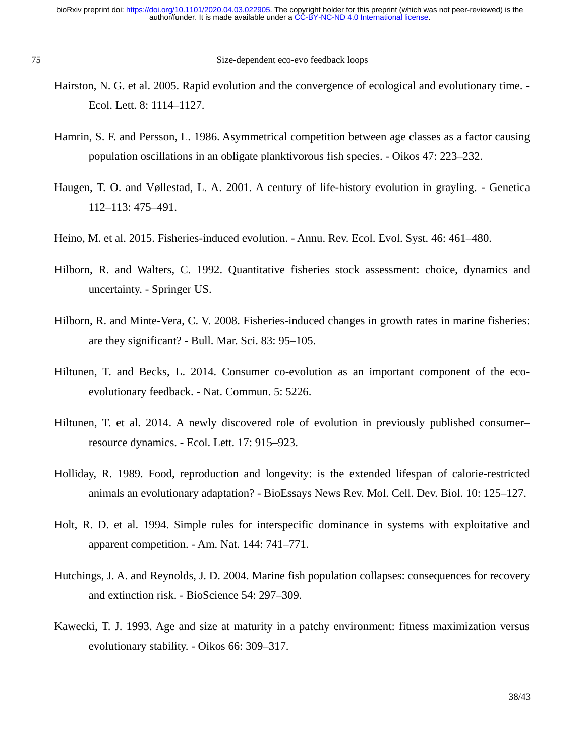- Hairston, N. G. et al. 2005. Rapid evolution and the convergence of ecological and evolutionary time. Ecol. Lett. 8: 1114–1127.
- Hamrin, S. F. and Persson, L. 1986. Asymmetrical competition between age classes as a factor causing population oscillations in an obligate planktivorous fish species. - Oikos 47: 223–232.
- Haugen, T. O. and Vøllestad, L. A. 2001. A century of life-history evolution in grayling. Genetica 112–113: 475–491.
- Heino, M. et al. 2015. Fisheries-induced evolution. Annu. Rev. Ecol. Evol. Syst. 46: 461–480.
- Hilborn, R. and Walters, C. 1992. Quantitative fisheries stock assessment: choice, dynamics and uncertainty. - Springer US.
- Hilborn, R. and Minte-Vera, C. V. 2008. Fisheries-induced changes in growth rates in marine fisheries: are they significant? - Bull. Mar. Sci. 83: 95–105.
- Hiltunen, T. and Becks, L. 2014. Consumer co-evolution as an important component of the ecoevolutionary feedback. - Nat. Commun. 5: 5226.
- Hiltunen, T. et al. 2014. A newly discovered role of evolution in previously published consumer– resource dynamics. - Ecol. Lett. 17: 915–923.
- Holliday, R. 1989. Food, reproduction and longevity: is the extended lifespan of calorie-restricted animals an evolutionary adaptation? - BioEssays News Rev. Mol. Cell. Dev. Biol. 10: 125–127.
- Holt, R. D. et al. 1994. Simple rules for interspecific dominance in systems with exploitative and apparent competition. - Am. Nat. 144: 741–771.
- Hutchings, J. A. and Reynolds, J. D. 2004. Marine fish population collapses: consequences for recovery and extinction risk. - BioScience 54: 297–309.
- Kawecki, T. J. 1993. Age and size at maturity in a patchy environment: fitness maximization versus evolutionary stability. - Oikos 66: 309–317.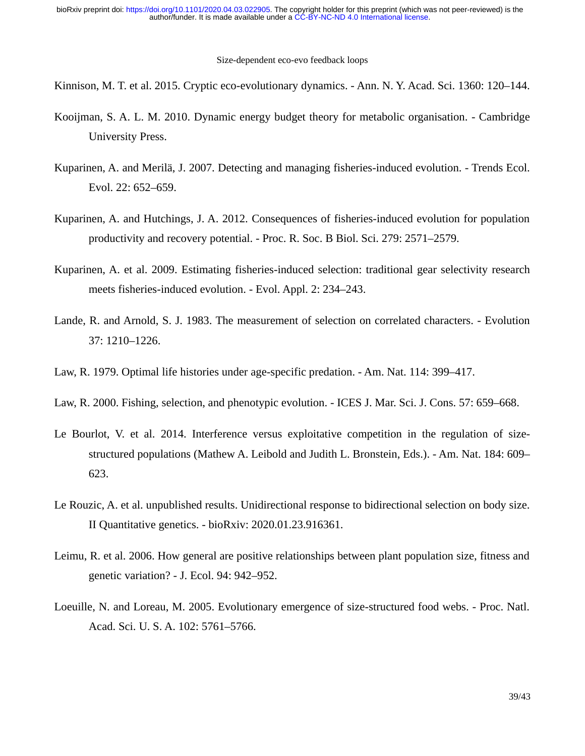Kinnison, M. T. et al. 2015. Cryptic eco-evolutionary dynamics. - Ann. N. Y. Acad. Sci. 1360: 120–144.

- Kooijman, S. A. L. M. 2010. Dynamic energy budget theory for metabolic organisation. Cambridge University Press.
- Kuparinen, A. and Merilä, J. 2007. Detecting and managing fisheries-induced evolution. Trends Ecol. Evol. 22: 652–659.
- Kuparinen, A. and Hutchings, J. A. 2012. Consequences of fisheries-induced evolution for population productivity and recovery potential. - Proc. R. Soc. B Biol. Sci. 279: 2571–2579.
- Kuparinen, A. et al. 2009. Estimating fisheries-induced selection: traditional gear selectivity research meets fisheries-induced evolution. - Evol. Appl. 2: 234–243.
- Lande, R. and Arnold, S. J. 1983. The measurement of selection on correlated characters. Evolution 37: 1210–1226.
- Law, R. 1979. Optimal life histories under age-specific predation. Am. Nat. 114: 399–417.
- Law, R. 2000. Fishing, selection, and phenotypic evolution. ICES J. Mar. Sci. J. Cons. 57: 659–668.
- Le Bourlot, V. et al. 2014. Interference versus exploitative competition in the regulation of sizestructured populations (Mathew A. Leibold and Judith L. Bronstein, Eds.). - Am. Nat. 184: 609– 623.
- Le Rouzic, A. et al. unpublished results. Unidirectional response to bidirectional selection on body size. II Quantitative genetics. - bioRxiv: 2020.01.23.916361.
- Leimu, R. et al. 2006. How general are positive relationships between plant population size, fitness and genetic variation? - J. Ecol. 94: 942–952.
- Loeuille, N. and Loreau, M. 2005. Evolutionary emergence of size-structured food webs. Proc. Natl. Acad. Sci. U. S. A. 102: 5761–5766.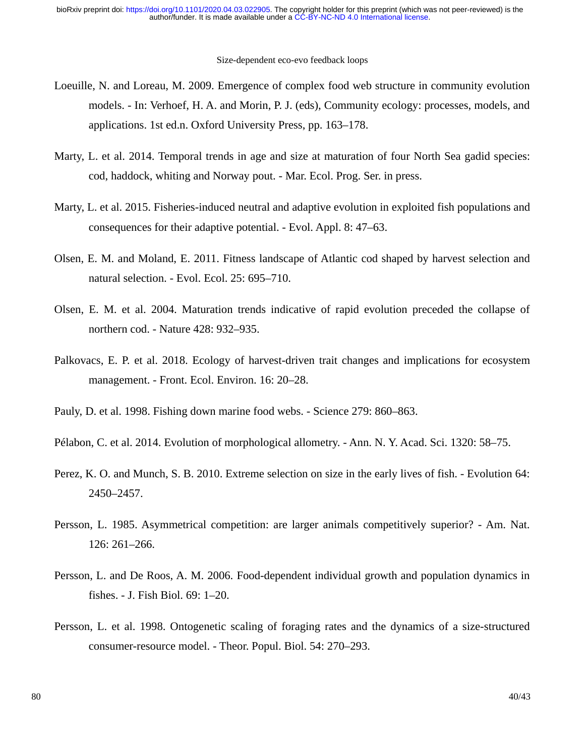- Loeuille, N. and Loreau, M. 2009. Emergence of complex food web structure in community evolution models. - In: Verhoef, H. A. and Morin, P. J. (eds), Community ecology: processes, models, and applications. 1st ed.n. Oxford University Press, pp. 163–178.
- Marty, L. et al. 2014. Temporal trends in age and size at maturation of four North Sea gadid species: cod, haddock, whiting and Norway pout. - Mar. Ecol. Prog. Ser. in press.
- Marty, L. et al. 2015. Fisheries-induced neutral and adaptive evolution in exploited fish populations and consequences for their adaptive potential. - Evol. Appl. 8: 47–63.
- Olsen, E. M. and Moland, E. 2011. Fitness landscape of Atlantic cod shaped by harvest selection and natural selection. - Evol. Ecol. 25: 695–710.
- Olsen, E. M. et al. 2004. Maturation trends indicative of rapid evolution preceded the collapse of northern cod. - Nature 428: 932–935.
- Palkovacs, E. P. et al. 2018. Ecology of harvest-driven trait changes and implications for ecosystem management. - Front. Ecol. Environ. 16: 20–28.
- Pauly, D. et al. 1998. Fishing down marine food webs. Science 279: 860–863.
- Pélabon, C. et al. 2014. Evolution of morphological allometry. Ann. N. Y. Acad. Sci. 1320: 58–75.
- Perez, K. O. and Munch, S. B. 2010. Extreme selection on size in the early lives of fish. Evolution 64: 2450–2457.
- Persson, L. 1985. Asymmetrical competition: are larger animals competitively superior? Am. Nat. 126: 261–266.
- Persson, L. and De Roos, A. M. 2006. Food-dependent individual growth and population dynamics in fishes. - J. Fish Biol. 69: 1–20.
- Persson, L. et al. 1998. Ontogenetic scaling of foraging rates and the dynamics of a size-structured consumer-resource model. - Theor. Popul. Biol. 54: 270–293.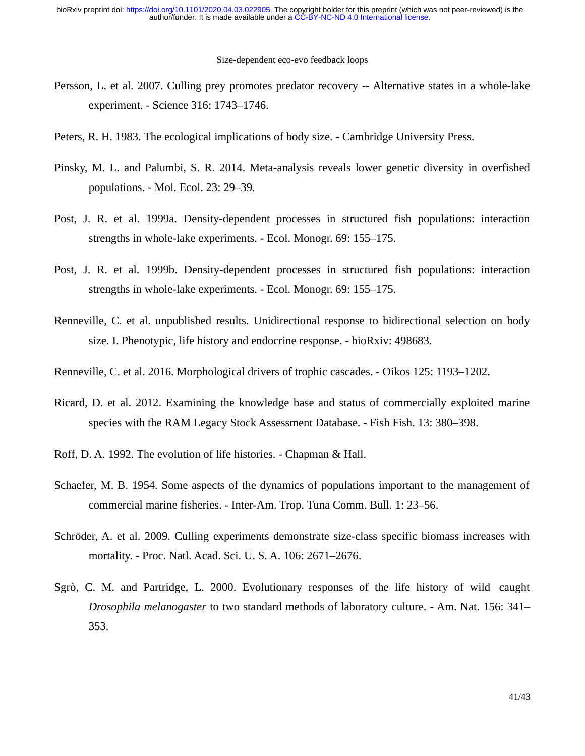- Persson, L. et al. 2007. Culling prey promotes predator recovery -- Alternative states in a whole-lake experiment. - Science 316: 1743–1746.
- Peters, R. H. 1983. The ecological implications of body size. Cambridge University Press.
- Pinsky, M. L. and Palumbi, S. R. 2014. Meta-analysis reveals lower genetic diversity in overfished populations. - Mol. Ecol. 23: 29–39.
- Post, J. R. et al. 1999a. Density-dependent processes in structured fish populations: interaction strengths in whole-lake experiments. - Ecol. Monogr. 69: 155–175.
- Post, J. R. et al. 1999b. Density-dependent processes in structured fish populations: interaction strengths in whole-lake experiments. - Ecol. Monogr. 69: 155–175.
- Renneville, C. et al. unpublished results. Unidirectional response to bidirectional selection on body size. I. Phenotypic, life history and endocrine response. - bioRxiv: 498683.
- Renneville, C. et al. 2016. Morphological drivers of trophic cascades. Oikos 125: 1193–1202.
- Ricard, D. et al. 2012. Examining the knowledge base and status of commercially exploited marine species with the RAM Legacy Stock Assessment Database. - Fish Fish. 13: 380–398.
- Roff, D. A. 1992. The evolution of life histories. Chapman & Hall.
- Schaefer, M. B. 1954. Some aspects of the dynamics of populations important to the management of commercial marine fisheries. - Inter-Am. Trop. Tuna Comm. Bull. 1: 23–56.
- Schröder, A. et al. 2009. Culling experiments demonstrate size-class specific biomass increases with mortality. - Proc. Natl. Acad. Sci. U. S. A. 106: 2671–2676.
- Sgrò, C. M. and Partridge, L. 2000. Evolutionary responses of the life history of wild caught *Drosophila melanogaster* to two standard methods of laboratory culture. - Am. Nat. 156: 341– 353.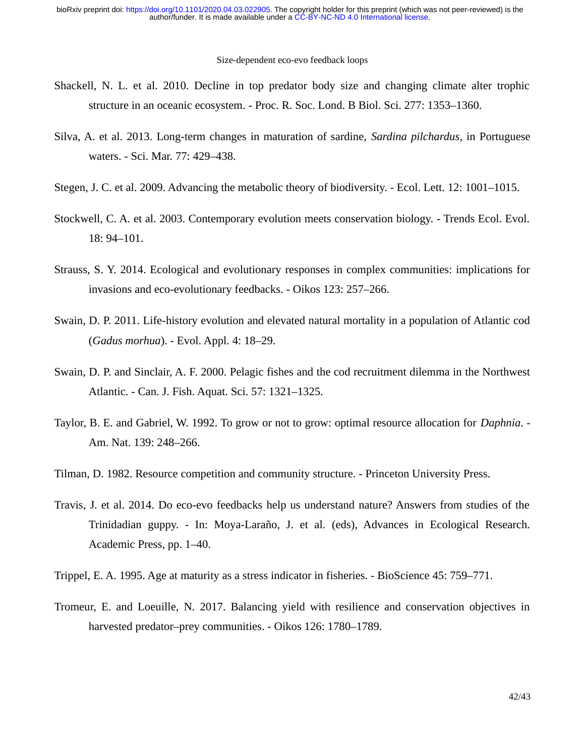- Shackell, N. L. et al. 2010. Decline in top predator body size and changing climate alter trophic structure in an oceanic ecosystem. - Proc. R. Soc. Lond. B Biol. Sci. 277: 1353–1360.
- Silva, A. et al. 2013. Long-term changes in maturation of sardine, *Sardina pilchardus*, in Portuguese waters. - Sci. Mar. 77: 429–438.
- Stegen, J. C. et al. 2009. Advancing the metabolic theory of biodiversity. Ecol. Lett. 12: 1001–1015.
- Stockwell, C. A. et al. 2003. Contemporary evolution meets conservation biology. Trends Ecol. Evol. 18: 94–101.
- Strauss, S. Y. 2014. Ecological and evolutionary responses in complex communities: implications for invasions and eco-evolutionary feedbacks. - Oikos 123: 257–266.
- Swain, D. P. 2011. Life-history evolution and elevated natural mortality in a population of Atlantic cod (*Gadus morhua*). - Evol. Appl. 4: 18–29.
- Swain, D. P. and Sinclair, A. F. 2000. Pelagic fishes and the cod recruitment dilemma in the Northwest Atlantic. - Can. J. Fish. Aquat. Sci. 57: 1321–1325.
- Taylor, B. E. and Gabriel, W. 1992. To grow or not to grow: optimal resource allocation for *Daphnia*. Am. Nat. 139: 248–266.
- Tilman, D. 1982. Resource competition and community structure. Princeton University Press.
- Travis, J. et al. 2014. Do eco-evo feedbacks help us understand nature? Answers from studies of the Trinidadian guppy. - In: Moya-Laraño, J. et al. (eds), Advances in Ecological Research. Academic Press, pp. 1–40.
- Trippel, E. A. 1995. Age at maturity as a stress indicator in fisheries. BioScience 45: 759–771.
- Tromeur, E. and Loeuille, N. 2017. Balancing yield with resilience and conservation objectives in harvested predator–prey communities. - Oikos 126: 1780–1789.